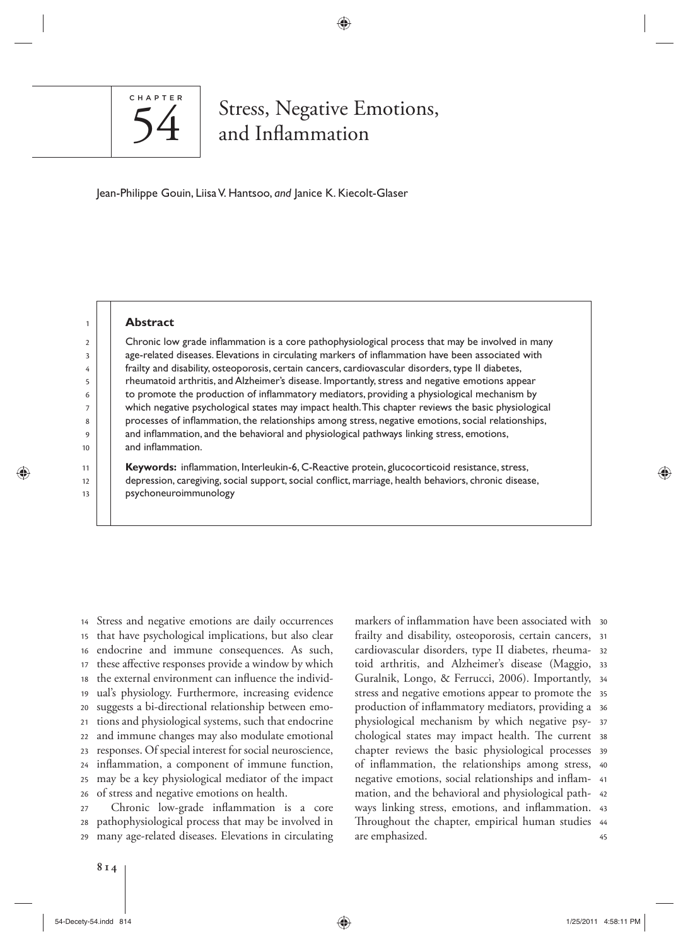

# Stress, Negative Emotions, and Inflammation

⊕

Jean-Philippe Gouin, Liisa V. Hantsoo, and Janice K. Kiecolt-Glaser

⊕

### **Abstract**

Chronic low grade inflammation is a core pathophysiological process that may be involved in many age-related diseases. Elevations in circulating markers of inflammation have been associated with frailty and disability, osteoporosis, certain cancers, cardiovascular disorders, type II diabetes, rheumatoid arthritis, and Alzheimer's disease. Importantly, stress and negative emotions appear to promote the production of inflammatory mediators, providing a physiological mechanism by which negative psychological states may impact health. This chapter reviews the basic physiological processes of inflammation, the relationships among stress, negative emotions, social relationships, and inflammation, and the behavioral and physiological pathways linking stress, emotions, and inflammation.

Keywords: inflammation, Interleukin-6, C-Reactive protein, glucocorticoid resistance, stress, depression, caregiving, social support, social conflict, marriage, health behaviors, chronic disease, psychoneuroimmunology

26 25 24 23 22 21  $20$ 19 18 17 16 15 14 Stress and negative emotions are daily occurrences that have psychological implications, but also clear endocrine and immune consequences. As such, these affective responses provide a window by which the external environment can influence the individual's physiology. Furthermore, increasing evidence suggests a bi-directional relationship between emotions and physiological systems, such that endocrine and immune changes may also modulate emotional responses. Of special interest for social neuroscience, inflammation, a component of immune function, may be a key physiological mediator of the impact of stress and negative emotions on health.

29 28 27 Chronic low-grade inflammation is a core pathophysiological process that may be involved in many age-related diseases. Elevations in circulating

45 Throughout the chapter, empirical human studies 44 ways linking stress, emotions, and inflammation. 43 42 mation, and the behavioral and physiological pathnegative emotions, social relationships and inflam- 41 of inflammation, the relationships among stress, 40 39 chapter reviews the basic physiological processes chological states may impact health. The current 38 37 physiological mechanism by which negative psyproduction of inflammatory mediators, providing a  $\,$  36  $\,$ stress and negative emotions appear to promote the 35 Guralnik, Longo, & Ferrucci, 2006). Importantly, 34 33 toid arthritis, and Alzheimer's disease (Maggio, 32 cardiovascular disorders, type II diabetes, rheumafrailty and disability, osteoporosis, certain cancers, 31 markers of inflammation have been associated with  $\,$  30  $\,$ are emphasized.

54-Decety-54.indd 814 1/25/2011 4:58:11 PM 1/25/2011 4:58:11 PM 1/25/2011 4:58:11 PM 1/25/2011 4:58:11 PM 1/25/2011 4:58:11 PM 1/25/2011 4:58:11 PM 1/25/2011 4:58:11 PM 1/25/2011 4:58:11 PM 1/25/2011 4:58:11 PM 1/25/2011 4

♠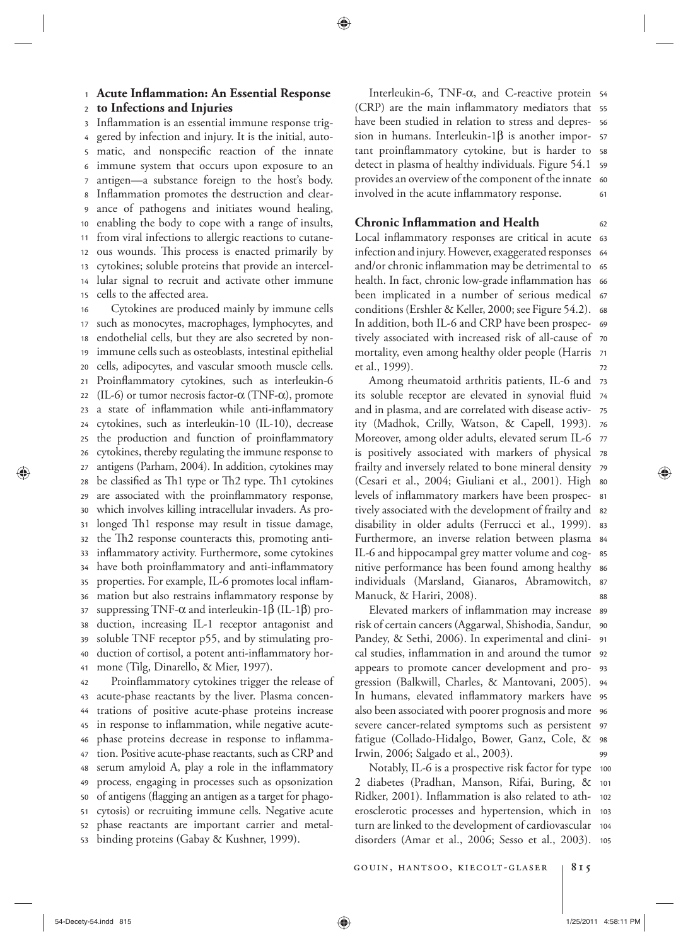<sup>1</sup> **Acute In! ammation: An Essential Response** 

 $\overline{\phantom{a}}$ **to Infections and Injuries** 

15 14 13 12 11 10 9 8 7 6 5 4 3 Inflammation is an essential immune response triggered by infection and injury. It is the initial, automatic, and nonspecific reaction of the innate immune system that occurs upon exposure to an antigen—a substance foreign to the host's body. Inflammation promotes the destruction and clearance of pathogens and initiates wound healing, enabling the body to cope with a range of insults, from viral infections to allergic reactions to cutaneous wounds. This process is enacted primarily by cytokines; soluble proteins that provide an intercellular signal to recruit and activate other immune cells to the affected area.

41 40 39 38 37 36 35 34 33 32 31 30 29 28 27 26 25 24 23 22 21  $20$ 19 18 17 16 Cytokines are produced mainly by immune cells such as monocytes, macrophages, lymphocytes, and endothelial cells, but they are also secreted by nonimmune cells such as osteoblasts, intestinal epithelial cells, adipocytes, and vascular smooth muscle cells. Proinflammatory cytokines, such as interleukin-6 (IL-6) or tumor necrosis factor- $\alpha$  (TNF- $\alpha$ ), promote a state of inflammation while anti-inflammatory cytokines, such as interleukin-10 (IL-10), decrease the production and function of proinflammatory cytokines, thereby regulating the immune response to antigens (Parham, 2004). In addition, cytokines may be classified as Th1 type or Th2 type. Th1 cytokines are associated with the proinflammatory response, which involves killing intracellular invaders. As prolonged Th1 response may result in tissue damage, the Th2 response counteracts this, promoting antiinflammatory activity. Furthermore, some cytokines have both proinflammatory and anti-inflammatory properties. For example, IL-6 promotes local inflammation but also restrains inflammatory response by suppressing TNF- $\alpha$  and interleukin-1 $\beta$  (IL-1 $\beta$ ) production, increasing IL-1 receptor antagonist and soluble TNF receptor p55, and by stimulating production of cortisol, a potent anti-inflammatory hormone (Tilg, Dinarello, & Mier, 1997).

53 52 51 50 49 48 47 46 45 44 43 42 Proinflammatory cytokines trigger the release of acute-phase reactants by the liver. Plasma concentrations of positive acute-phase proteins increase in response to inflammation, while negative acutephase proteins decrease in response to inflammation. Positive acute-phase reactants, such as CRP and serum amyloid A, play a role in the inflammatory process, engaging in processes such as opsonization of antigens (flagging an antigen as a target for phagocytosis) or recruiting immune cells. Negative acute phase reactants are important carrier and metalbinding proteins (Gabay & Kushner, 1999).

61 provides an overview of the component of the innate 60 detect in plasma of healthy individuals. Figure 54.1 s9 tant proinflammatory cytokine, but is harder to s8 57 56 (CRP) are the main inflammatory mediators that 55 Interleukin-6, TNF-α, and C-reactive protein 54 have been studied in relation to stress and depression in humans. Interleukin- $1\beta$  is another imporinvolved in the acute inflammatory response.

# **Chronic Inflammation and Health**

⊕

72 mortality, even among healthy older people (Harris) 71 tively associated with increased risk of all-cause of 70 69 conditions (Ershler & Keller, 2000; see Figure 54.2). 68 been implicated in a number of serious medical 67 health. In fact, chronic low-grade inflammation has  $\,$  66 and/or chronic inflammation may be detrimental to  $\,$  65 64 infection and injury. However, exaggerated responses Local inflammatory responses are critical in acute 63 In addition, both IL-6 and CRP have been prospecet al., 1999).

62

⊕

88 87 individuals (Marsland, Gianaros, Abramowitch, 86 nitive performance has been found among healthy 85 Furthermore, an inverse relation between plasma 84 disability in older adults (Ferrucci et al., 1999). 83 tively associated with the development of frailty and  $\,$  s2  $\,$ levels of inflammatory markers have been prospec- 81 (Cesari et al., 2004; Giuliani et al., 2001). High so 79 frailty and inversely related to bone mineral density is positively associated with markers of physical 78 77 Moreover, among older adults, elevated serum IL-6 ity (Madhok, Crilly, Watson, & Capell, 1993). 76 75 its soluble receptor are elevated in synovial fluid 74 Among rheumatoid arthritis patients, IL-6 and 73 and in plasma, and are correlated with disease activ-IL-6 and hippocampal grey matter volume and cog-Manuck, & Hariri, 2008).

 $QQ$ 98 fatigue (Collado-Hidalgo, Bower, Ganz, Cole, & severe cancer-related symptoms such as persistent 97 also been associated with poorer prognosis and more  $\,$  96  $\,$ In humans, elevated inflammatory markers have 95 gression (Balkwill, Charles, & Mantovani, 2005). 94 93 cal studies, inflammation in and around the tumor 92 Pandey, & Sethi, 2006). In experimental and clini- 91 90 risk of certain cancers (Aggarwal, Shishodia, Sandur, Elevated markers of inflammation may increase 89 appears to promote cancer development and pro-Irwin, 2006; Salgado et al., 2003).

disorders (Amar et al., 2006; Sesso et al., 2003). 105 104 erosclerotic processes and hypertension, which in 103 Ridker, 2001). Inflammation is also related to ath- 102 101 Notably, IL-6 is a prospective risk factor for type  $\,$  100  $\,$ 2 diabetes (Pradhan, Manson, Rifai, Buring, & turn are linked to the development of cardiovascular

gouin, hantsoo, kiecolt-glaser **815**

54-Decety-54.indd 815 1/25/2011 4:58:11 PM /25/2011 4:58:11 PM /25/2011 4:58:11 PM /25/2011 4:58:11 PM /25/201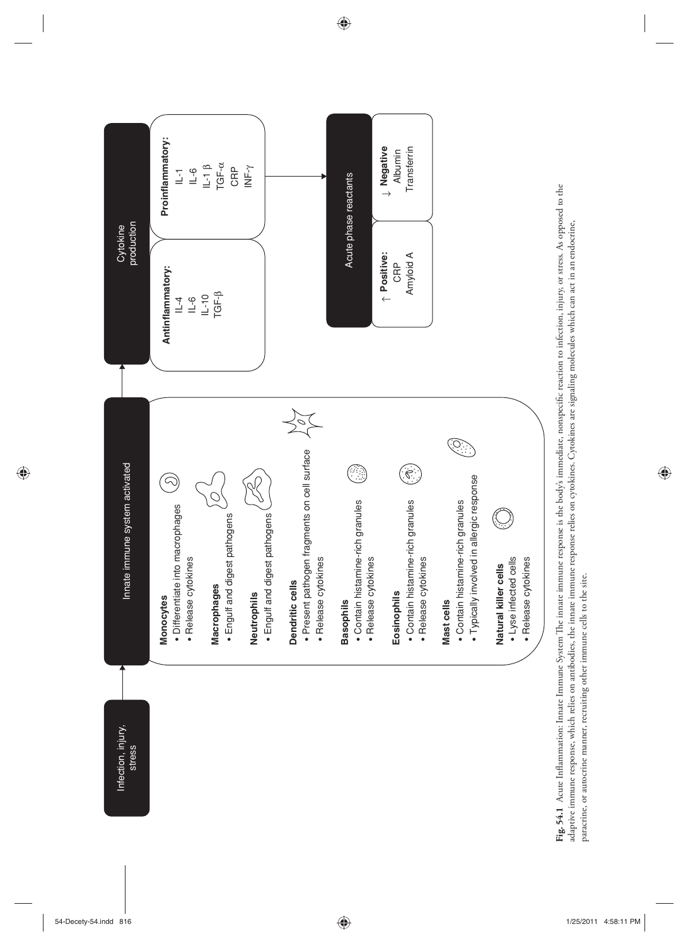

 $\bigoplus$ 

Fig. 54.1 Acute Inflammation: Innate Immune System The innate immune response is the body's immediate, nonspecific reaction to infection, injury, or stress. As opposed to the **Fig. 54.1** Acute Inflammation: Innate Immune System The innate immune response is the body's immediate, nonspecific reaction to infection, injury, or stress. As opposed to the adaptive immune response, which relies on antibodies, the innate immune response relies on cytokines. Cytokines are signaling molecules which can act in an endocrine, adaptive immune response, which relies on antibodies, the innate immune response relies on cytokines. Cytokines are signaling molecules which can act in an endocrine, paracrine, or autocrine manner, recruiting other immune cells to the site. paracrine, or autocrine manner, recruiting other immune cells to the site.

 $\bigoplus$ 

 $\bigoplus$ 

 $\bigoplus$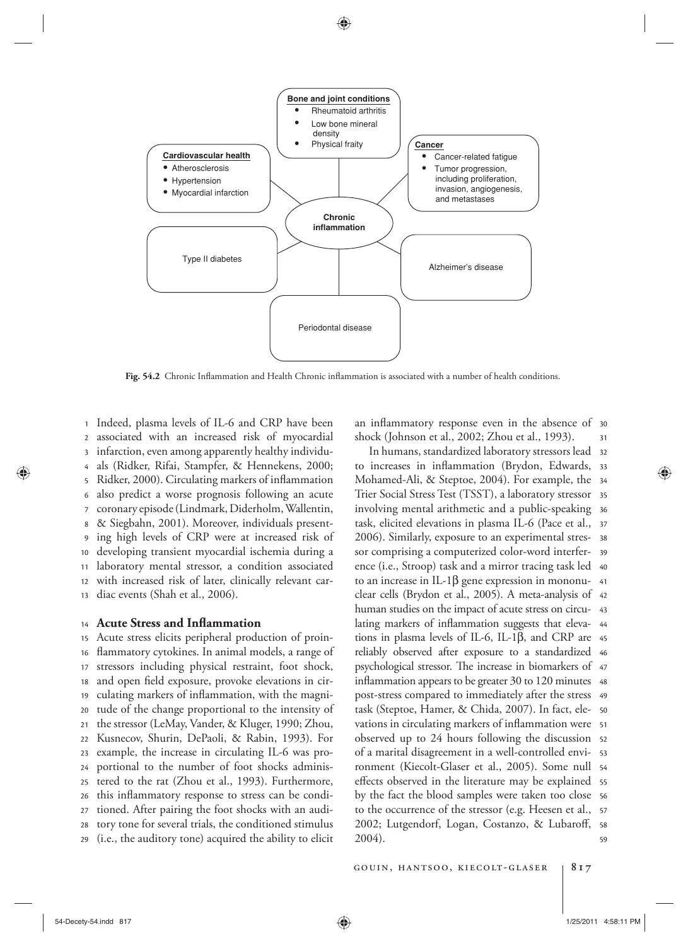

Fig. 54.2 Chronic Inflammation and Health Chronic inflammation is associated with a number of health conditions.

13 12 11 10 9 8 7 6 5 4 3 2 1 Indeed, plasma levels of IL-6 and CRP have been associated with an increased risk of myocardial infarction, even among apparently healthy individuals (Ridker, Rifai, Stampfer, & Hennekens, 2000; Ridker, 2000). Circulating markers of inflammation also predict a worse prognosis following an acute coronary episode (Lindmark, Diderholm, Wallentin, & Siegbahn, 2001). Moreover, individuals presenting high levels of CRP were at increased risk of developing transient myocardial ischemia during a laboratory mental stressor, a condition associated with increased risk of later, clinically relevant cardiac events (Shah et al., 2006).

#### 14 **Acute Stress and Inflammation**

29 28 27 26 25 24 23 22 21 20 19 18 17 16 15 Acute stress elicits peripheral production of proin flammatory cytokines. In animal models, a range of stressors including physical restraint, foot shock, and open field exposure, provoke elevations in circulating markers of inflammation, with the magnitude of the change proportional to the intensity of the stressor (LeMay, Vander, & Kluger, 1990; Zhou, Kusnecov, Shurin, DePaoli, & Rabin, 1993). For example, the increase in circulating IL-6 was proportional to the number of foot shocks administered to the rat (Zhou et al., 1993). Furthermore, this inflammatory response to stress can be conditioned. After pairing the foot shocks with an auditory tone for several trials, the conditioned stimulus (i.e., the auditory tone) acquired the ability to elicit

31 an inflammatory response even in the absence of 30 shock (Johnson et al., 2002; Zhou et al., 1993).

 $59$ 2002; Lutgendorf, Logan, Costanzo, & Lubaroff, 58 57 to the occurrence of the stressor (e.g. Heesen et al., by the fact the blood samples were taken too close s6 effects observed in the literature may be explained ss ronment (Kiecolt-Glaser et al., 2005). Some null 54 53 of a marital disagreement in a well-controlled enviobserved up to 24 hours following the discussion 52 vations in circulating markers of inflammation were 51 task (Steptoe, Hamer, & Chida, 2007). In fact, ele-  $\,$  so 49 post-stress compared to immediately after the stress inflammation appears to be greater 30 to 120 minutes 48 psychological stressor. The increase in biomarkers of 47 46 reliably observed after exposure to a standardized tions in plasma levels of IL-6, IL-1 $\beta$ , and CRP are 45 lating markers of inflammation suggests that eleva- 44 human studies on the impact of acute stress on circu- 43 clear cells (Brydon et al., 2005). A meta-analysis of 42 to an increase in IL-1 $\beta$  gene expression in mononu- 41 40 ence (i.e., Stroop) task and a mirror tracing task led sor comprising a computerized color-word interfer- 39 2006). Similarly, exposure to an experimental stres- 38 37 task, elicited elevations in plasma IL-6 (Pace et al., 36 involving mental arithmetic and a public-speaking 35 Trier Social Stress Test (TSST), a laboratory stressor Mohamed-Ali, & Steptoe, 2004). For example, the  $\,$  34  $\,$ to increases in inflammation (Brydon, Edwards, 33 32 In humans, standardized laboratory stressors lead 2004).

gouin, hantsoo, kiecolt-glaser **817**

⊕

⊕

54-Decety-54.indd 817 1/25/2011 4:58:11 PM 1/25/2011 4:58:11 PM 1/25/2011 4:58:11 PM 1/25/2011 4:58:11 PM 1/25/2011 4:58:11 PM 1/25/2011 4:58:11 PM 1/25/2011 4:58:11 PM 1/25/2011 4:58:11 PM 1/25/2011 4:58:11 PM 1/25/2011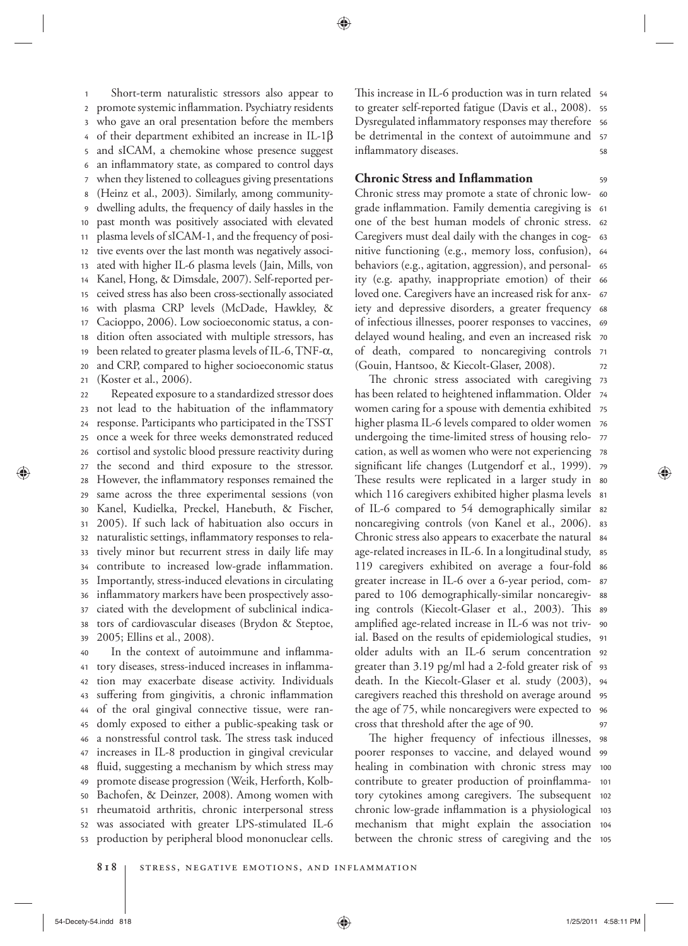21 20 19 18 17 16 15 14 13 12 11 10 9 8 7 6 5 4 3 2 <sup>1</sup> Short-term naturalistic stressors also appear to promote systemic inflammation. Psychiatry residents who gave an oral presentation before the members of their department exhibited an increase in IL-1 $\beta$ and sICAM, a chemokine whose presence suggest an inflammatory state, as compared to control days when they listened to colleagues giving presentations (Heinz et al., 2003). Similarly, among communitydwelling adults, the frequency of daily hassles in the past month was positively associated with elevated plasma levels of sICAM-1, and the frequency of positive events over the last month was negatively associated with higher IL-6 plasma levels (Jain, Mills, von Kanel, Hong, & Dimsdale, 2007). Self-reported perceived stress has also been cross-sectionally associated with plasma CRP levels (McDade, Hawkley, & Cacioppo, 2006). Low socioeconomic status, a condition often associated with multiple stressors, has been related to greater plasma levels of IL-6, TNF- $\alpha$ , and CRP, compared to higher socioeconomic status (Koster et al., 2006).

39 38 37 36 35 34 33 32 31 30 29 28 27 26 25 24 23 22 Repeated exposure to a standardized stressor does not lead to the habituation of the inflammatory response. Participants who participated in the TSST once a week for three weeks demonstrated reduced cortisol and systolic blood pressure reactivity during the second and third exposure to the stressor. However, the inflammatory responses remained the same across the three experimental sessions (von Kanel, Kudielka, Preckel, Hanebuth, & Fischer, 2005 ). If such lack of habituation also occurs in naturalistic settings, inflammatory responses to relatively minor but recurrent stress in daily life may contribute to increased low-grade inflammation. Importantly, stress-induced elevations in circulating inflammatory markers have been prospectively associated with the development of subclinical indicators of cardiovascular diseases (Brydon & Steptoe, 2005; Ellins et al., 2008).

53 52 51 50 49 48 47 46 45 44 43 42 41 40 In the context of autoimmune and inflammatory diseases, stress-induced increases in inflammation may exacerbate disease activity. Individuals suffering from gingivitis, a chronic inflammation of the oral gingival connective tissue, were randomly exposed to either a public-speaking task or a nonstressful control task. The stress task induced increases in IL-8 production in gingival crevicular fluid, suggesting a mechanism by which stress may promote disease progression (Weik, Herforth, Kolb-Bachofen, & Deinzer, 2008). Among women with rheumatoid arthritis, chronic interpersonal stress was associated with greater LPS-stimulated IL-6 production by peripheral blood mononuclear cells.

58 57 Dysregulated inflammatory responses may therefore s6 to greater self-reported fatigue (Davis et al., 2008).  $\,$  ss This increase in IL-6 production was in turn related 54 be detrimental in the context of autoimmune and inflammatory diseases.

59

⊕

# **Chronic Stress and Inflammation**

72 of death, compared to noncaregiving controls 71 70 delayed wound healing, and even an increased risk 69 iety and depressive disorders, a greater frequency 68 loved one. Caregivers have an increased risk for anx- 67 ity (e.g. apathy, inappropriate emotion) of their 66 behaviors (e.g., agitation, aggression), and personal-  $\,$  65  $\,$ 64 nitive functioning (e.g., memory loss, confusion), Caregivers must deal daily with the changes in cog- 63 one of the best human models of chronic stress. 62 grade inflammation. Family dementia caregiving is 61 Chronic stress may promote a state of chronic low- 60 of infectious illnesses, poorer responses to vaccines, (Gouin, Hantsoo, & Kiecolt-Glaser, 2008).

97 the age of 75, while noncaregivers were expected to s6 95 caregivers reached this threshold on average around death. In the Kiecolt-Glaser et al. study (2003), 94 greater than 3.19 pg/ml had a 2-fold greater risk of 93 older adults with an IL-6 serum concentration 92 ial. Based on the results of epidemiological studies, 91 amplified age-related increase in IL-6 was not triv-  $\,$  90  $\,$ ing controls (Kiecolt-Glaser et al., 2003). This 89 88 pared to 106 demographically-similar noncaregiv-87 greater increase in IL-6 over a 6-year period, com-119 caregivers exhibited on average a four-fold 86 age-related increases in IL-6. In a longitudinal study, ss Chronic stress also appears to exacerbate the natural s4 83 of IL-6 compared to 54 demographically similar 82 81 which 116 caregivers exhibited higher plasma levels These results were replicated in a larger study in 80 significant life changes (Lutgendorf et al., 1999). 79 cation, as well as women who were not experiencing 78 77 undergoing the time-limited stress of housing relo-76 higher plasma IL-6 levels compared to older women 75 women caring for a spouse with dementia exhibited has been related to heightened inflammation. Older 74 The chronic stress associated with caregiving 73 noncaregiving controls (von Kanel et al., 2006). cross that threshold after the age of 90.

between the chronic stress of caregiving and the 105 mechanism that might explain the association 104 chronic low-grade inflammation is a physiological 103 tory cytokines among caregivers. The subsequent 102 101 healing in combination with chronic stress may 100 poorer responses to vaccine, and delayed wound 99 The higher frequency of infectious illnesses, 98 contribute to greater production of proinflamma-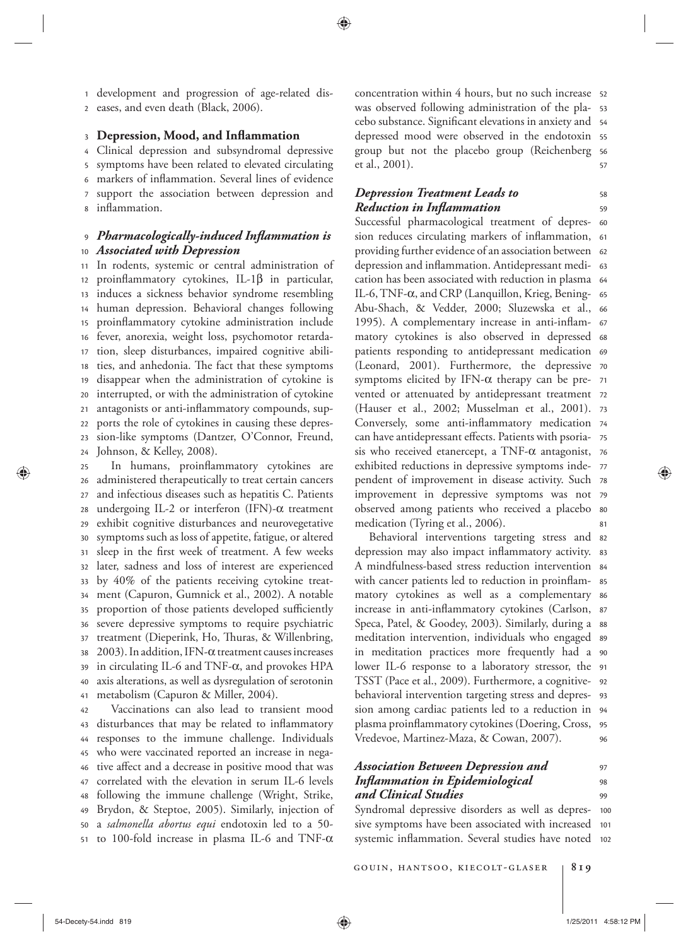2 <sup>1</sup> development and progression of age-related diseases, and even death (Black, 2006).

### 3 **Depression, Mood, and Inflammation**

8 7 6 5 4 Clinical depression and subsyndromal depressive symptoms have been related to elevated circulating markers of inflammation. Several lines of evidence support the association between depression and inflammation.

### 10 9 *Pharmacologically-induced Inflammation is Associated with Depression*

24 23 22 21 20 19 18 17 16 15 14 13 12 11 In rodents, systemic or central administration of proinflammatory cytokines, IL-1 $\beta$  in particular, induces a sickness behavior syndrome resembling human depression. Behavioral changes following proinflammatory cytokine administration include fever, anorexia, weight loss, psychomotor retardation, sleep disturbances, impaired cognitive abilities, and anhedonia. The fact that these symptoms disappear when the administration of cytokine is interrupted, or with the administration of cytokine antagonists or anti-inflammatory compounds, supports the role of cytokines in causing these depression-like symptoms (Dantzer, O'Connor, Freund, Johnson, & Kelley, 2008).

41 40 39 38 37 36 35 34 33 32 31 30 29 28 27 26 25 In humans, proinflammatory cytokines are administered therapeutically to treat certain cancers and infectious diseases such as hepatitis C. Patients undergoing IL-2 or interferon (IFN)- $\alpha$  treatment exhibit cognitive disturbances and neurovegetative symptoms such as loss of appetite, fatigue, or altered sleep in the first week of treatment. A few weeks later, sadness and loss of interest are experienced by 40% of the patients receiving cytokine treatment (Capuron, Gumnick et al., 2002). A notable proportion of those patients developed sufficiently severe depressive symptoms to require psychiatric treatment (Dieperink, Ho, Thuras, & Willenbring, 2003). In addition, IFN- $\alpha$  treatment causes increases in circulating IL-6 and TNF- $\alpha$ , and provokes HPA axis alterations, as well as dysregulation of serotonin metabolism (Capuron & Miller, 2004).

51 50 49 48 47 46 45 44 43 42 Vaccinations can also lead to transient mood disturbances that may be related to inflammatory responses to the immune challenge. Individuals who were vaccinated reported an increase in negative affect and a decrease in positive mood that was correlated with the elevation in serum IL-6 levels following the immune challenge (Wright, Strike, Brydon, & Steptoe, 2005). Similarly, injection of a *salmonella abortus equi* endotoxin led to a 50 to 100-fold increase in plasma IL-6 and TNF- $\alpha$ 

57 group but not the placebo group (Reichenberg 56 depressed mood were observed in the endotoxin 55 cebo substance. Significant elevations in anxiety and 54 53 52 concentration within 4 hours, but no such increase was observed following administration of the plaet al., 2001).

# *Depression Treatment Leads to Reduction in In! ammation*

59 58

⊕

81 observed among patients who received a placebo  $^{80}$ improvement in depressive symptoms was not 79 pendent of improvement in disease activity. Such 78 exhibited reductions in depressive symptoms inde- 77 sis who received etanercept, a TNF- $\alpha$  antagonist, 76 can have antidepressant effects. Patients with psoria- 75 Conversely, some anti-inflammatory medication 74 (Hauser et al., 2002; Musselman et al., 2001). 73 vented or attenuated by antidepressant treatment 72 symptoms elicited by IFN- $\alpha$  therapy can be pre- 71 (Leonard, 2001). Furthermore, the depressive 70 patients responding to antidepressant medication 69 68 matory cytokines is also observed in depressed 1995). A complementary increase in anti-inflam- 67 Abu-Shach, & Vedder, 2000; Sluzewska et al., 66 IL-6, TNF-α, and CRP (Lanquillon, Krieg, Bening-65 cation has been associated with reduction in plasma 64 depression and inflammation. Antidepressant medi- 63 providing further evidence of an association between 62 sion reduces circulating markers of inflammation, 61 Successful pharmacological treatment of depres- 60 medication (Tyring et al., 2006).

96 95 94 sion among cardiac patients led to a reduction in behavioral intervention targeting stress and depres-  $\,$  93 TSST (Pace et al., 2009). Furthermore, a cognitive- 92 lower IL-6 response to a laboratory stressor, the 91 90 in meditation practices more frequently had a meditation intervention, individuals who engaged 89 88 increase in anti-inflammatory cytokines (Carlson, 87 86 matory cytokines as well as a complementary with cancer patients led to reduction in proinflam- 85 84 A mindfulness-based stress reduction intervention depression may also impact inflammatory activity. 83 Behavioral interventions targeting stress and 82 Speca, Patel, & Goodey, 2003). Similarly, during a plasma proinflammatory cytokines (Doering, Cross, Vredevoe, Martinez-Maza, & Cowan, 2007 ).

### **99** 98 97  *Association Between Depression and*  **Inflammation in Epidemiological** *and Clinical Studies*

systemic inflammation. Several studies have noted 102 101 100 Syndromal depressive disorders as well as depressive symptoms have been associated with increased

gouin, hantsoo, kiecolt-glaser **819**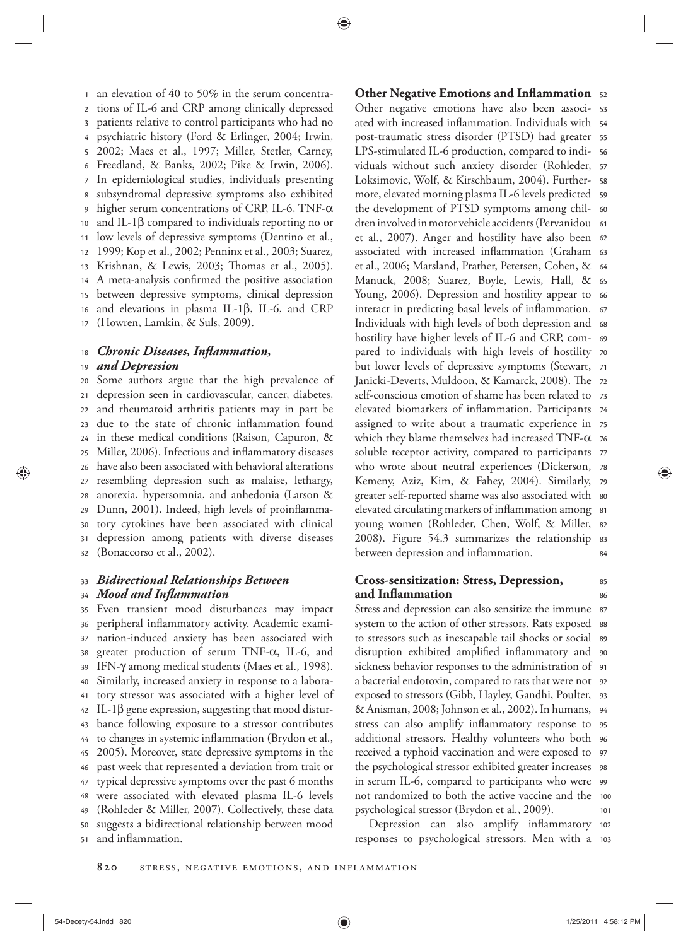17 16 15 14 13 12 11 10 9 8 7 6 5 4 3 2 1 an elevation of 40 to 50% in the serum concentrations of IL-6 and CRP among clinically depressed patients relative to control participants who had no psychiatric history (Ford & Erlinger, 2004; Irwin, 2002; Maes et al., 1997; Miller, Stetler, Carney, Freedland,  $& Banks, 2002; Pike & Irwin, 2006).$ In epidemiological studies, individuals presenting subsyndromal depressive symptoms also exhibited higher serum concentrations of CRP, IL-6, TNF- $\alpha$ and IL-1 $\beta$  compared to individuals reporting no or low levels of depressive symptoms (Dentino et al., 1999; Kop et al., 2002; Penninx et al., 2003; Suarez, Krishnan, & Lewis, 2003; Thomas et al., 2005). A meta-analysis confirmed the positive association between depressive symptoms, clinical depression and elevations in plasma IL-1 $\beta$ , IL-6, and CRP (Howren, Lamkin, & Suls, 2009).

#### 18 *<i>Chronic Diseases, Inflammation,*

### 19 *and Depression*

32 31 30 29 28 27 26 25 24 23 22 21 20 Some authors argue that the high prevalence of depression seen in cardiovascular, cancer, diabetes, and rheumatoid arthritis patients may in part be due to the state of chronic inflammation found in these medical conditions (Raison, Capuron, & Miller, 2006). Infectious and inflammatory diseases have also been associated with behavioral alterations resembling depression such as malaise, lethargy, anorexia, hypersomnia, and anhedonia (Larson & Dunn, 2001). Indeed, high levels of proinflammatory cytokines have been associated with clinical depression among patients with diverse diseases (Bonaccorso et al., 2002).

### 34 33  *Bidirectional Relationships Between Mood and In! ammation*

51 50 49 48 47 46 45 44 43 42 41 40 39 38 37 36 35 Even transient mood disturbances may impact peripheral inflammatory activity. Academic examination-induced anxiety has been associated with greater production of serum TNF- $\alpha$ , IL-6, and IFN- $γ$  among medical students (Maes et al., 1998). Similarly, increased anxiety in response to a laboratory stressor was associated with a higher level of IL-1 $β$  gene expression, suggesting that mood disturbance following exposure to a stressor contributes to changes in systemic inflammation (Brydon et al., 2005). Moreover, state depressive symptoms in the past week that represented a deviation from trait or typical depressive symptoms over the past 6 months were associated with elevated plasma IL-6 levels (Rohleder & Miller, 2007). Collectively, these data suggests a bidirectional relationship between mood and inflammation.

84 2008). Figure 54.3 summarizes the relationship 83 82 young women (Rohleder, Chen, Wolf, & Miller, elevated circulating markers of inflammation among 81 greater self-reported shame was also associated with  $\,$  so Kemeny, Aziz, Kim, & Fahey, 2004). Similarly, 79 who wrote about neutral experiences (Dickerson, 78 soluble receptor activity, compared to participants 77 which they blame themselves had increased  $\text{TNF-}\alpha$  76 assigned to write about a traumatic experience in 75 elevated biomarkers of inflammation. Participants 74 73 self-conscious emotion of shame has been related to Janicki-Deverts, Muldoon, & Kamarck, 2008). The 72 but lower levels of depressive symptoms (Stewart, 71 pared to individuals with high levels of hostility 70 69 hostility have higher levels of IL-6 and CRP, com-Individuals with high levels of both depression and 68 interact in predicting basal levels of inflammation. 67 Young, 2006). Depression and hostility appear to 66 Manuck, 2008; Suarez, Boyle, Lewis, Hall, & 65 et al., 2006; Marsland, Prather, Petersen, Cohen, & 64 associated with increased inflammation (Graham 63 et al., 2007). Anger and hostility have also been 62 61 dren involved in motor vehicle accidents (Pervanidou the development of PTSD symptoms among chil- 60 more, elevated morning plasma IL-6 levels predicted s9 Loksimovic, Wolf, & Kirschbaum, 2004). Further- ss 57 viduals without such anxiety disorder (Rohleder, LPS-stimulated IL-6 production, compared to indi- 56 post-traumatic stress disorder (PTSD) had greater 55 ated with increased inflammation. Individuals with 54 Other negative emotions have also been associ- 53 **Other Negative Emotions and Inflammation** 52 between depression and inflammation.

# **Cross-sensitization: Stress, Depression, and In! ammation**

 $10<sup>1</sup>$ not randomized to both the active vaccine and the 100 in serum IL-6, compared to participants who were 99 the psychological stressor exhibited greater increases 98 97 received a typhoid vaccination and were exposed to additional stressors. Healthy volunteers who both 96 95 94 & Anisman, 2008 ; Johnson et al., 2002 ). In humans, exposed to stressors (Gibb, Hayley, Gandhi, Poulter, 93 a bacterial endotoxin, compared to rats that were not 92 sickness behavior responses to the administration of 91 disruption exhibited amplified inflammatory and 90 to stressors such as inescapable tail shocks or social s9 88 Stress and depression can also sensitize the immune 87 system to the action of other stressors. Rats exposed stress can also amplify inflammatory response to psychological stressor (Brydon et al., 2009 ).

responses to psychological stressors. Men with a 103 Depression can also amplify inflammatory 102

86 85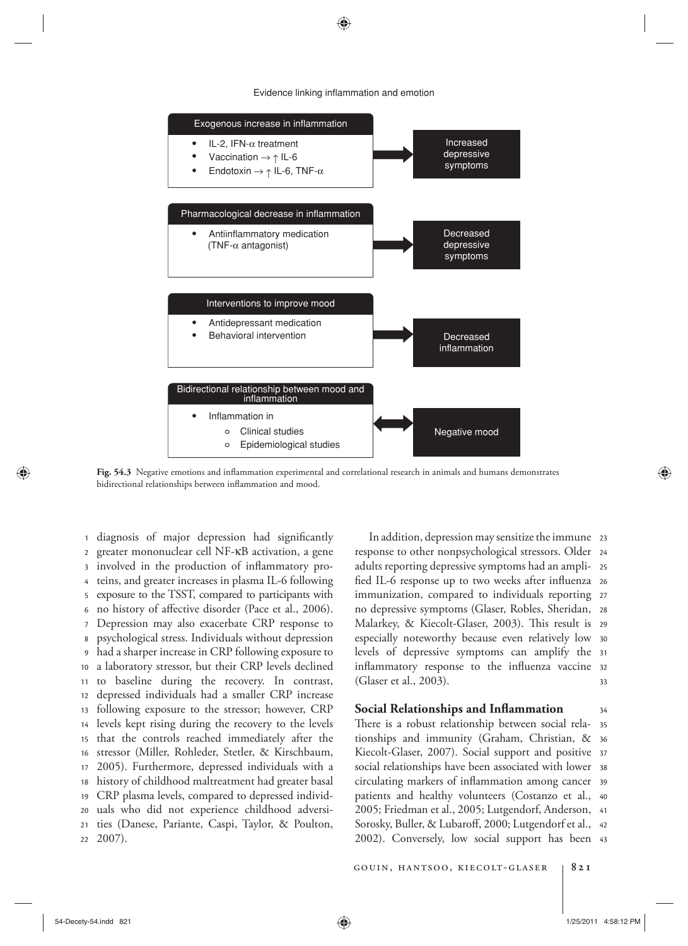

### Evidence linking inflammation and emotion

⊕

Fig. 54.3 Negative emotions and inflammation experimental and correlational research in animals and humans demonstrates bidirectional relationships between inflammation and mood.

 $22$ 21 20 19 18 17 16 15 14 13 12 11 10 9 8 7 6 5 4 3 2 1 diagnosis of major depression had significantly greater mononuclear cell NF- κ B activation, a gene involved in the production of inflammatory proteins, and greater increases in plasma IL-6 following exposure to the TSST, compared to participants with no history of affective disorder (Pace et al., 2006). Depression may also exacerbate CRP response to psychological stress. Individuals without depression had a sharper increase in CRP following exposure to a laboratory stressor, but their CRP levels declined to baseline during the recovery. In contrast, depressed individuals had a smaller CRP increase following exposure to the stressor; however, CRP levels kept rising during the recovery to the levels that the controls reached immediately after the stressor (Miller, Rohleder, Stetler, & Kirschbaum, 2005). Furthermore, depressed individuals with a history of childhood maltreatment had greater basal CRP plasma levels, compared to depressed individuals who did not experience childhood adversities (Danese, Pariante, Caspi, Taylor, & Poulton,  $2007$ ).

33 inflammatory response to the influenza vaccine 32 levels of depressive symptoms can amplify the 31 especially noteworthy because even relatively low 30 Malarkey, & Kiecolt-Glaser, 2003). This result is 29 28 no depressive symptoms (Glaser, Robles, Sheridan, immunization, compared to individuals reporting 27 fied IL-6 response up to two weeks after influenza 26 25 adults reporting depressive symptoms had an ampliresponse to other nonpsychological stressors. Older 24 In addition, depression may sensitize the immune 23 (Glaser et al., 2003).

# **Social Relationships and Inflammation**

2002). Conversely, low social support has been 43 Sorosky, Buller, & Lubaroff, 2000; Lutgendorf et al., 42 2005; Friedman et al., 2005; Lutgendorf, Anderson, 41 40 patients and healthy volunteers (Costanzo et al., circulating markers of inflammation among cancer 39 38 social relationships have been associated with lower Kiecolt-Glaser, 2007). Social support and positive 37 36 tionships and immunity (Graham, Christian, & 35 There is a robust relationship between social rela-

gouin, hantsoo, kiecolt-glaser **821**

⊕

34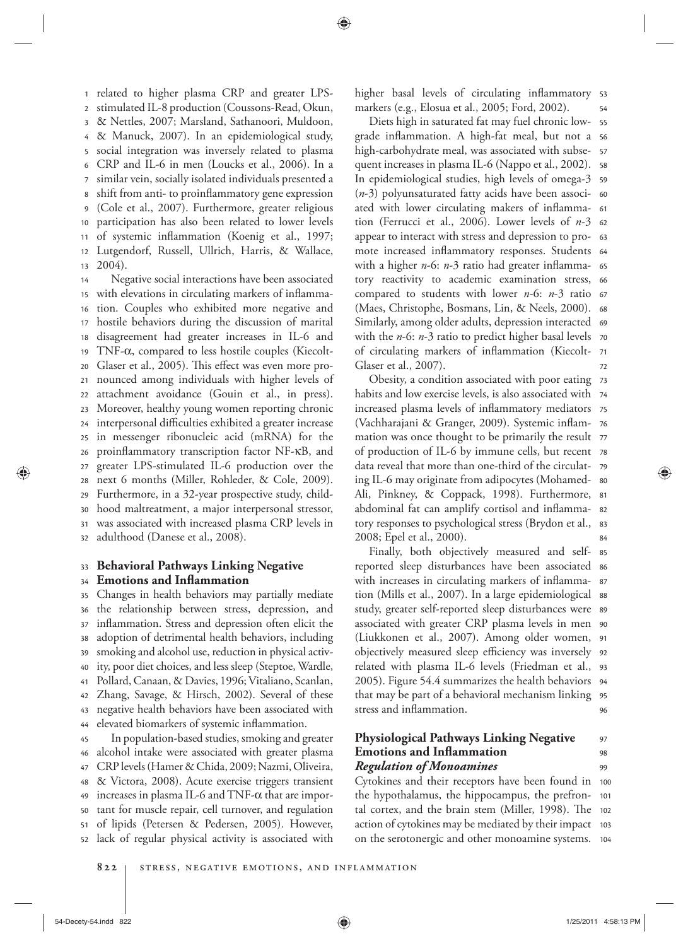13 12 11 10 9 8 7 6 5 4 3 2 <sup>1</sup> related to higher plasma CRP and greater LPSstimulated IL-8 production (Coussons-Read, Okun, & Nettles, 2007 ; Marsland, Sathanoori, Muldoon, & Manuck, 2007). In an epidemiological study, social integration was inversely related to plasma CRP and IL-6 in men (Loucks et al., 2006). In a similar vein, socially isolated individuals presented a shift from anti- to proinflammatory gene expression (Cole et al., 2007). Furthermore, greater religious participation has also been related to lower levels of systemic inflammation (Koenig et al., 1997; Lutgendorf, Russell, Ullrich, Harris, & Wallace,  $2004$ .

32 31 30 29 28 27 26 25 24 23 22 21 20 19 18 17 16 15 14 Negative social interactions have been associated with elevations in circulating markers of inflammation. Couples who exhibited more negative and hostile behaviors during the discussion of marital disagreement had greater increases in IL-6 and TNF-α, compared to less hostile couples (Kiecolt-Glaser et al., 2005). This effect was even more pronounced among individuals with higher levels of attachment avoidance (Gouin et al., in press). Moreover, healthy young women reporting chronic interpersonal difficulties exhibited a greater increase in messenger ribonucleic acid (mRNA) for the proinflammatory transcription factor NF-KB, and greater LPS-stimulated IL-6 production over the next 6 months (Miller, Rohleder, & Cole, 2009). Furthermore, in a 32-year prospective study, childhood maltreatment, a major interpersonal stressor, was associated with increased plasma CRP levels in adulthood (Danese et al., 2008).

#### 33  **Behavioral Pathways Linking Negative**

### 34 **Emotions and Inflammation**

47 46 45 44 43 42 41 40 39 38 37 36 35 Changes in health behaviors may partially mediate the relationship between stress, depression, and inflammation. Stress and depression often elicit the adoption of detrimental health behaviors, including smoking and alcohol use, reduction in physical activity, poor diet choices, and less sleep (Steptoe, Wardle, Pollard, Canaan, & Davies, 1996; Vitaliano, Scanlan, Zhang, Savage, & Hirsch, 2002). Several of these negative health behaviors have been associated with elevated biomarkers of systemic inflammation. In population-based studies, smoking and greater alcohol intake were associated with greater plasma CRP levels (Hamer & Chida, 2009; Nazmi, Oliveira,

52 51 50 49 48 & Victora, 2008). Acute exercise triggers transient increases in plasma IL-6 and TNF- $\alpha$  that are important for muscle repair, cell turnover, and regulation of lipids (Petersen & Pedersen, 2005). However, lack of regular physical activity is associated with

54 higher basal levels of circulating inflammatory 53 markers (e.g., Elosua et al., 2005; Ford, 2002).

72 of circulating markers of inflammation (Kiecolt- 71 with the *n*-6: *n*-3 ratio to predict higher basal levels 70 Similarly, among older adults, depression interacted 69 (Maes, Christophe, Bosmans, Lin, & Neels, 2000). 68 compared to students with lower *n*-6: *n*-3 ratio 67 tory reactivity to academic examination stress, 66 with a higher *n-*6: *n-3* ratio had greater inflamma- 65 mote increased inflammatory responses. Students 64 appear to interact with stress and depression to pro- 63 tion (Ferrucci et al., 2006). Lower levels of *n*-3 62 ated with lower circulating makers of inflamma- 61 (*n*-3) polyunsaturated fatty acids have been associ- 60 In epidemiological studies, high levels of omega-3 s9 quent increases in plasma IL-6 (Nappo et al., 2002).  $\,$  ss 57 56 55 Diets high in saturated fat may fuel chronic lowgrade inflammation. A high-fat meal, but not a high-carbohydrate meal, was associated with subse-Glaser et al., 2007).

84 83 tory responses to psychological stress (Brydon et al., abdominal fat can amplify cortisol and inflamma-  82 Ali, Pinkney, & Coppack, 1998). Furthermore, 81 80 ing IL-6 may originate from adipocytes (Mohamed-79 of production of IL-6 by immune cells, but recent 78 77 mation was once thought to be primarily the result (Vachharajani & Granger, 2009). Systemic inflam- 76 increased plasma levels of inflammatory mediators 75 74 habits and low exercise levels, is also associated with Obesity, a condition associated with poor eating 73 data reveal that more than one-third of the circulat-2008; Epel et al., 2000).

96 95 that may be part of a behavioral mechanism linking 2005). Figure 54.4 summarizes the health behaviors 94 93 related with plasma IL-6 levels (Friedman et al., objectively measured sleep efficiency was inversely 92 (Liukkonen et al., 2007). Among older women, 91 associated with greater CRP plasma levels in men 90 study, greater self-reported sleep disturbances were s9 tion (Mills et al., 2007). In a large epidemiological ss with increases in circulating markers of inflamma- 87 reported sleep disturbances have been associated 86 85 Finally, both objectively measured and selfstress and inflammation.

### **99** 98 97  **Physiological Pathways Linking Negative Emotions and Inflammation**  *Regulation of Monoamines*

104 103 102 101 Cytokines and their receptors have been found in 100 the hypothalamus, the hippocampus, the prefrontal cortex, and the brain stem (Miller, 1998). The action of cytokines may be mediated by their impact on the serotonergic and other monoamine systems.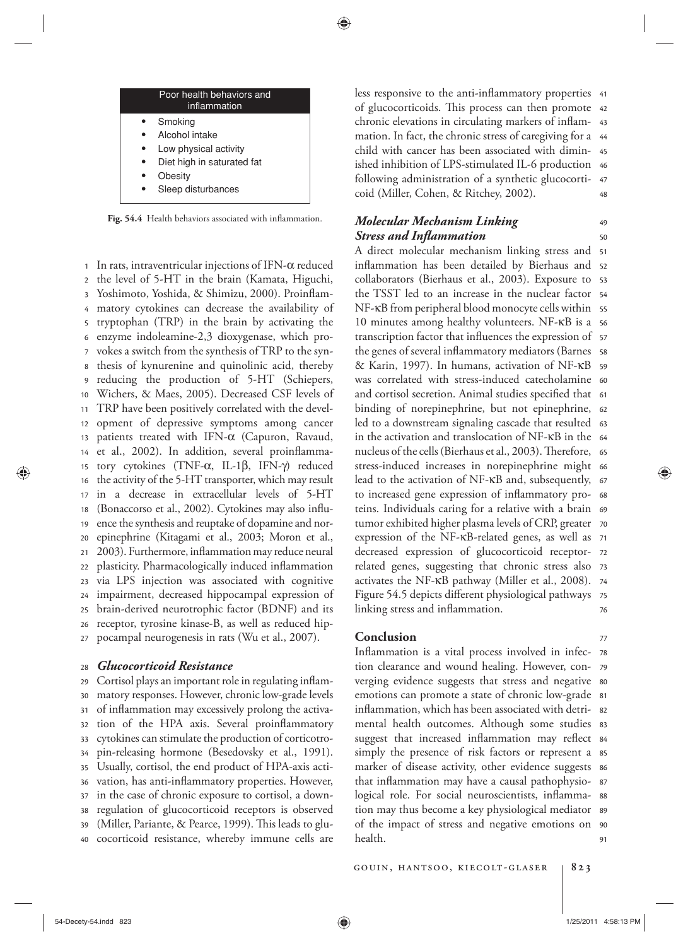| Poor health behaviors and<br>inflammation |
|-------------------------------------------|
| Smoking                                   |
| Alcohol intake                            |
| Low physical activity                     |
| Diet high in saturated fat                |
| Obesity                                   |
| Sleep disturbances                        |

Fig. 54.4 Health behaviors associated with inflammation.

27 26 25 24 23 22 21 20 19 18 17 16 15 14 13 12 11 10 9 8 7 6 5 4 3 2 1 In rats, intraventricular injections of IFN- $\alpha$  reduced the level of 5-HT in the brain (Kamata, Higuchi, Yoshimoto, Yoshida, & Shimizu, 2000). Proinflammatory cytokines can decrease the availability of tryptophan (TRP) in the brain by activating the enzyme indoleamine-2,3 dioxygenase, which provokes a switch from the synthesis of TRP to the synthesis of kynurenine and quinolinic acid, thereby reducing the production of 5-HT (Schiepers, Wichers, & Maes, 2005 ). Decreased CSF levels of TRP have been positively correlated with the development of depressive symptoms among cancer patients treated with IFN- $\alpha$  (Capuron, Ravaud, et al., 2002). In addition, several proinflammatory cytokines (TNF- $\alpha$ , IL-1β, IFN- $\gamma$ ) reduced the activity of the 5-HT transporter, which may result in a decrease in extracellular levels of 5-HT (Bonaccorso et al., 2002). Cytokines may also influence the synthesis and reuptake of dopamine and norepinephrine (Kitagami et al., 2003; Moron et al., 2003). Furthermore, inflammation may reduce neural plasticity. Pharmacologically induced inflammation via LPS injection was associated with cognitive impairment, decreased hippocampal expression of brain-derived neurotrophic factor (BDNF) and its receptor, tyrosine kinase-B, as well as reduced hippocampal neurogenesis in rats (Wu et al., 2007).

### 28  *Glucocorticoid Resistance*

40 39 38 37 36 35 34 33 32 31 30 29 Cortisol plays an important role in regulating inflammatory responses. However, chronic low-grade levels of inflammation may excessively prolong the activation of the HPA axis. Several proinflammatory cytokines can stimulate the production of corticotropin-releasing hormone (Besedovsky et al., 1991). Usually, cortisol, the end product of HPA-axis activation, has anti-inflammatory properties. However, in the case of chronic exposure to cortisol, a downregulation of glucocorticoid receptors is observed (Miller, Pariante, & Pearce, 1999). This leads to glucocorticoid resistance, whereby immune cells are

48 47 following administration of a synthetic glucocorti-46 ished inhibition of LPS-stimulated IL-6 production 45 44 mation. In fact, the chronic stress of caregiving for a chronic elevations in circulating markers of inflam- 43 of glucocorticoids. This process can then promote 42 less responsive to the anti-inflammatory properties 41 child with cancer has been associated with dimincoid (Miller, Cohen, & Ritchey, 2002).

# *Molecular Mechanism Linking Stress and Inflammation*

76 75 activates the NF-κB pathway (Miller et al., 2008). 74 related genes, suggesting that chronic stress also 73 decreased expression of glucocorticoid receptor- 72 expression of the NF-KB-related genes, as well as 71 tumor exhibited higher plasma levels of CRP, greater 70 teins. Individuals caring for a relative with a brain 69 to increased gene expression of inflammatory pro- 68 lead to the activation of NF-κB and, subsequently, 67 stress-induced increases in norepinephrine might 66 nucleus of the cells (Bierhaus et al., 2003). Therefore, 65 in the activation and translocation of NF-KB in the 64 led to a downstream signaling cascade that resulted  $\,$  63 binding of norepinephrine, but not epinephrine, 62 and cortisol secretion. Animal studies specified that 61 was correlated with stress-induced catecholamine 60 59 the genes of several inflammatory mediators (Barnes) ss transcription factor that influences the expression of 57 10 minutes among healthy volunteers. NF-KB is a 56 NF-κB from peripheral blood monocyte cells within ss the TSST led to an increase in the nuclear factor 54 collaborators (Bierhaus et al., 2003). Exposure to 53 inflammation has been detailed by Bierhaus and 52 A direct molecular mechanism linking stress and 51 & Karin, 1997). In humans, activation of NF-κB Figure 54.5 depicts different physiological pathways linking stress and inflammation.

### **Conclusion**

 $91$ of the impact of stress and negative emotions on 90 tion may thus become a key physiological mediator s9 logical role. For social neuroscientists, inflamma-  $^{\rm ss}$ that inflammation may have a causal pathophysio- 87 86 marker of disease activity, other evidence suggests simply the presence of risk factors or represent a 85 suggest that increased inflammation may reflect 84 83 mental health outcomes. Although some studies inflammation, which has been associated with detri-  $\,$  s2  $\,$ emotions can promote a state of chronic low-grade si verging evidence suggests that stress and negative so tion clearance and wound healing. However, con- 79 Inflammation is a vital process involved in infec- 78 health.

50 49

77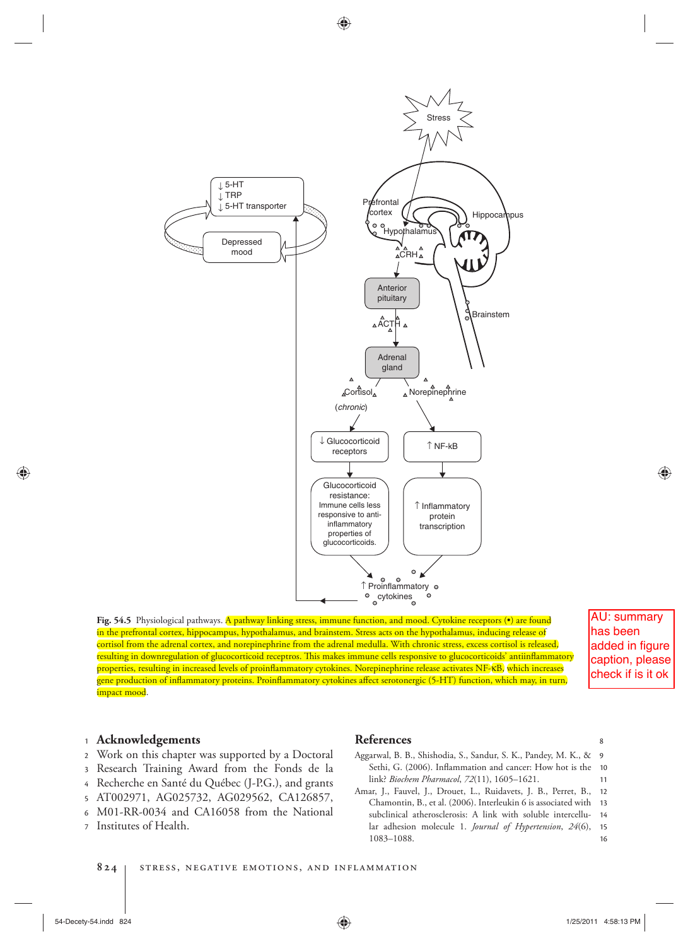

**Fig. 54.5** Physiological pathways. A pathway linking stress, immune function, and mood. Cytokine receptors (•) are found in the prefrontal cortex, hippocampus, hypothalamus, and brainstem. Stress acts on the hypothalamus, inducing release of cortisol from the adrenal cortex, and norepinephrine from the adrenal medulla. With chronic stress, excess cortisol is released, resulting in downregulation of glucocorticoid receptros. This makes immune cells responsive to glucocorticoids' antiinflammatory properties, resulting in increased levels of proinflammatory cytokines. Norepinephrine release activates NF-KB, which increases gene production of inflammatory proteins. Proinflammatory cytokines affect serotonergic (5-HT) function, which may, in turn, impact mood.

AU: summary has been added in figure caption, please check if is it ok

⊕

# <sup>1</sup> **Acknowledgements**

- 2 Work on this chapter was supported by a Doctoral
- 3 Research Training Award from the Fonds de la
- 4 Recherche en Santé du Québec (J-P.G.), and grants
- 5 AT002971, AG025732, AG029562, CA126857,
- 6 M01-RR-0034 and CA16058 from the National
- 7 Institutes of Health.

# **References**

- 11 10 9 Aggarwal, B. B., Shishodia, S., Sandur, S. K., Pandey, M. K., & Sethi, G. (2006). Inflammation and cancer: How hot is the link? *Biochem Pharmacol*, 72(11), 1605-1621.
- 16 15 14 Chamontin, B., et al. (2006). Interleukin 6 is associated with 13 12 Amar, J., Fauvel, J., Drouet, L., Ruidavets, J. B., Perret, B., subclinical atherosclerosis: A link with soluble intercellular adhesion molecule 1. *Journal of Hypertension*, 24(6), 1083-1088.

⊕

8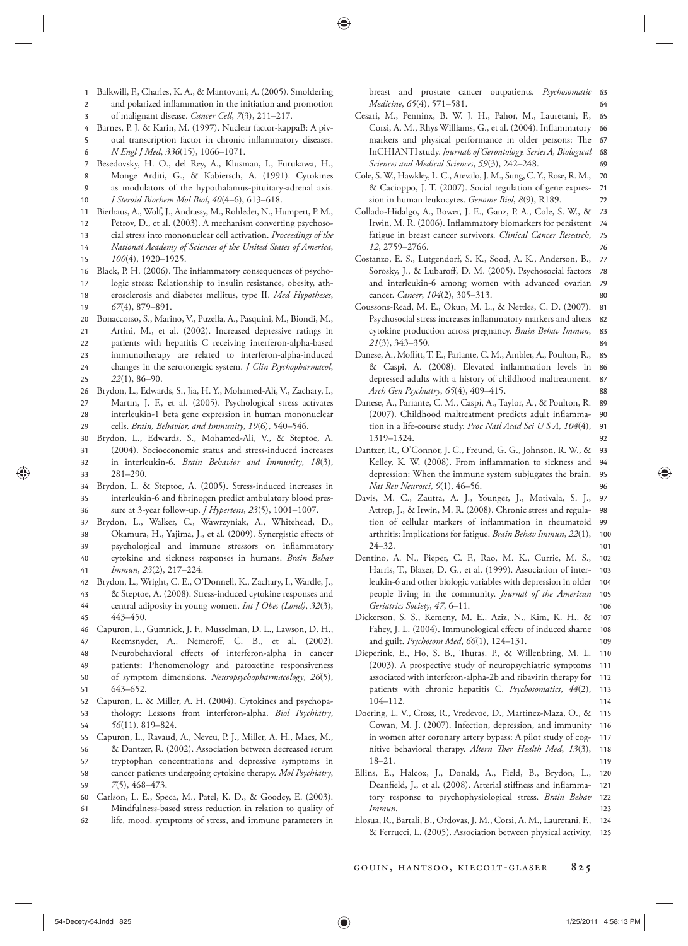- 1 Balkwill, F., Charles, K. A., & Mantovani, A. (2005). Smoldering
- 2 and polarized inflammation in the initiation and promotion
- 3 of malignant disease. *Cancer Cell*, 7(3), 211-217.
- 4 Barnes, P. J. & Karin, M. (1997). Nuclear factor-kappaB: A piv-
- 6 5 otal transcription factor in chronic inflammatory diseases. *N Engl J Med*, 336(15), 1066-1071.
- 7 Besedovsky, H. O., del Rey, A., Klusman, I., Furukawa, H.,
- 8 Monge Arditi, G., & Kabiersch, A. (1991). Cytokines
- 10 9 as modulators of the hypothalamus-pituitary-adrenal axis . *J Steroid Biochem Mol Biol* , *40* ( 4–6 ), 613 – 618 .
- 11 Bierhaus, A., Wolf, J., Andrassy, M., Rohleder, N., Humpert, P. M.,
- 12 Petrov, D., et al. (2003). A mechanism converting psychoso-
- 13 cial stress into mononuclear cell activation . *Proceedings of the*
- 14 *National Academy of Sciences of the United States of America* ,
- 16 15 *100*(4), 1920-1925. Black, P. H. (2006). The inflammatory consequences of psycho-
- 17 logic stress: Relationship to insulin resistance, obesity, ath-
- 19 18 erosclerosis and diabetes mellitus, type II . *Med Hypotheses* , 67(4), 879-891.
- 20 Bonaccorso, S., Marino, V., Puzella, A., Pasquini, M., Biondi, M.,
- 21 Artini, M., et al. (2002). Increased depressive ratings in
- 22 patients with hepatitis C receiving interferon-alpha-based
- 24  $23$ immunotherapy are related to interferon-alpha-induced
- 25 changes in the serotonergic system. *J Clin Psychopharmacol*, *22*(1), 86–90.
- 29 28 27 26 Brydon, L., Edwards, S., Jia, H. Y., Mohamed-Ali, V., Zachary, I., Martin, J. F., et al. (2005). Psychological stress activates interleukin-1 beta gene expression in human mononuclear cells. *Brain, Behavior, and Immunity*, 19(6), 540-546.
- 33 32 31 30 Brydon, L., Edwards, S., Mohamed-Ali, V., & Steptoe, A. (2004). Socioeconomic status and stress-induced increases in interleukin-6. *Brain Behavior and Immunity*, 18(3),  $281 - 290.$
- 36 35 34 Brydon, L. & Steptoe, A. (2005). Stress-induced increases in interleukin-6 and fibrinogen predict ambulatory blood pressure at 3-year follow-up. *J Hypertens*, 23(5), 1001-1007
- 37 Brydon, L., Walker, C., Wawrzyniak, A., Whitehead, D.,
- 38 Okamura, H., Yajima, J., et al. (2009). Synergistic effects of
- 39 psychological and immune stressors on inflammatory
- 41 40 cytokine and sickness responses in humans . *Brain Behav*  Immun, 23(2), 217-224.
- 42 Brydon, L., Wright, C. E., O'Donnell, K., Zachary, I., Wardle, J.,
- 43 & Steptoe, A. (2008). Stress-induced cytokine responses and
- 45 44 central adiposity in young women. *Int J Obes (Lond)*, 32(3), 443-450.
- 46 Capuron, L., Gumnick, J. F., Musselman, D. L., Lawson, D. H.,
- 47 Reemsnyder, A., Nemeroff, C. B., et al. (2002).
- 49 48 Neurobehavioral effects of interferon-alpha in cancer patients: Phenomenology and paroxetine responsiveness
- 51 50 of symptom dimensions. *Neuropsychopharmacology*, 26(5), 643-652.
- 53 52 Capuron, L. & Miller, A. H. (2004). Cytokines and psychopathology: Lessons from interferon-alpha. *Biol Psychiatry*,
- 55 54 56(11), 819–824. Capuron, L., Ravaud, A., Neveu, P. J., Miller, A. H., Maes, M.,
- 56 & Dantzer, R. (2002). Association between decreased serum
- 57 tryptophan concentrations and depressive symptoms in
- 59 58 cancer patients undergoing cytokine therapy. Mol Psychiatry, *7* ( 5 ), 468 – 473 .
- 60 Carlson, L. E., Speca, M., Patel, K. D., & Goodey, E. (2003).
- 61 Mindfulness-based stress reduction in relation to quality of
- 62 life, mood, symptoms of stress, and immune parameters in

64 breast and prostate cancer outpatients. *Psychosomatic* 63 *Medicine*, 65(4), 571-581.

- 69 68 67 66 65 Cesari, M., Penninx, B. W. J. H., Pahor, M., Lauretani, F., Corsi, A. M., Rhys Williams, G., et al. (2004). Inflammatory markers and physical performance in older persons: The InCHIANTI study . *Journals of Gerontology. Series A, Biological*  Sciences and Medical Sciences, 59(3), 242-248.
- 72 71 70 Cole, S. W., Hawkley, L. C., Arevalo, J. M., Sung, C. Y., Rose, R. M., & Cacioppo, J. T. (2007). Social regulation of gene expression in human leukocytes. *Genome Biol*, 8(9), R189.
- 76 75 74 73 Collado-Hidalgo, A., Bower, J. E., Ganz, P. A., Cole, S. W., & Irwin, M. R. (2006). Inflammatory biomarkers for persistent fatigue in breast cancer survivors. *Clinical Cancer Research*, *12*. 2759-2766.
- 80 79 78 77 Costanzo, E. S., Lutgendorf, S. K., Sood, A. K., Anderson, B., Sorosky, J., & Lubaroff, D. M. (2005). Psychosocial factors and interleukin-6 among women with advanced ovarian cancer. *Cancer*,  $104(2)$ , 305-313.
- 84 83 82 81 Coussons-Read, M. E., Okun, M. L., & Nettles, C. D. (2007). Psychosocial stress increases inflammatory markers and alters cytokine production across pregnancy. *Brain Behav Immun*, *21*(3), 343–350.
- 88 87 86 85 Danese, A., Moffitt, T. E., Pariante, C. M., Ambler, A., Poulton, R., & Caspi, A. (2008). Elevated inflammation levels in depressed adults with a history of childhood maltreatment. *Arch Gen Psychiatry* , *65* ( 4 ), 409 – 415 .
- 92 91 90 89 Danese, A., Pariante, C. M., Caspi, A., Taylor, A., & Poulton, R. (2007). Childhood maltreatment predicts adult inflammation in a life-course study. *Proc Natl Acad Sci U S A*, 104(4), 1319 – 1324.
- 96 95 94 93 Dantzer, R., O'Connor, J. C., Freund, G. G., Johnson, R. W., & Kelley, K. W. (2008). From inflammation to sickness and depression: When the immune system subjugates the brain . *Nat Rev Neurosci*, 9(1), 46-56.
- 101 100 99 98 97 Davis, M. C., Zautra, A. J., Younger, J., Motivala, S. J., Attrep, J., & Irwin, M. R. (2008). Chronic stress and regulation of cellular markers of inflammation in rheumatoid arthritis: Implications for fatigue. *Brain Behav Immun*, 22(1),  $24 - 32$ .
- 106 105 104 103 102 Dentino, A. N., Pieper, C. F., Rao, M. K., Currie, M. S., Harris, T., Blazer, D. G., et al. (1999). Association of interleukin-6 and other biologic variables with depression in older people living in the community . *Journal of the American*  Geriatrics Society, 47, 6-11.
- 109 108 107 Dickerson, S. S., Kemeny, M. E., Aziz, N., Kim, K. H., & Fahey, J. L. (2004). Immunological effects of induced shame and guilt. Psychosom Med, 66(1), 124-131.
- 114 113 112 111 110 Dieperink, E., Ho, S. B., Thuras, P., & Willenbring, M. L. (2003). A prospective study of neuropsychiatric symptoms associated with interferon-alpha-2b and ribavirin therapy for patients with chronic hepatitis C. Psychosomatics, 44(2),  $104 - 112.$
- 119 118 117 116 115 Doering, L. V., Cross, R., Vredevoe, D., Martinez-Maza, O., & Cowan, M. J. (2007). Infection, depression, and immunity in women after coronary artery bypass: A pilot study of cognitive behavioral therapy. Altern Ther Health Med, 13(3),  $18 - 21$ .
- 123 122  $12<sup>1</sup>$ 120 Ellins, E., Halcox, J., Donald, A., Field, B., Brydon, L., Deanfield, J., et al. (2008). Arterial stiffness and inflammatory response to psychophysiological stress . *Brain Behav Immun* .
- 125 124 Elosua, R., Bartali, B., Ordovas, J. M., Corsi, A. M., Lauretani, F., & Ferrucci, L. (2005). Association between physical activity,

gouin, hantsoo, kiecolt-glaser **825**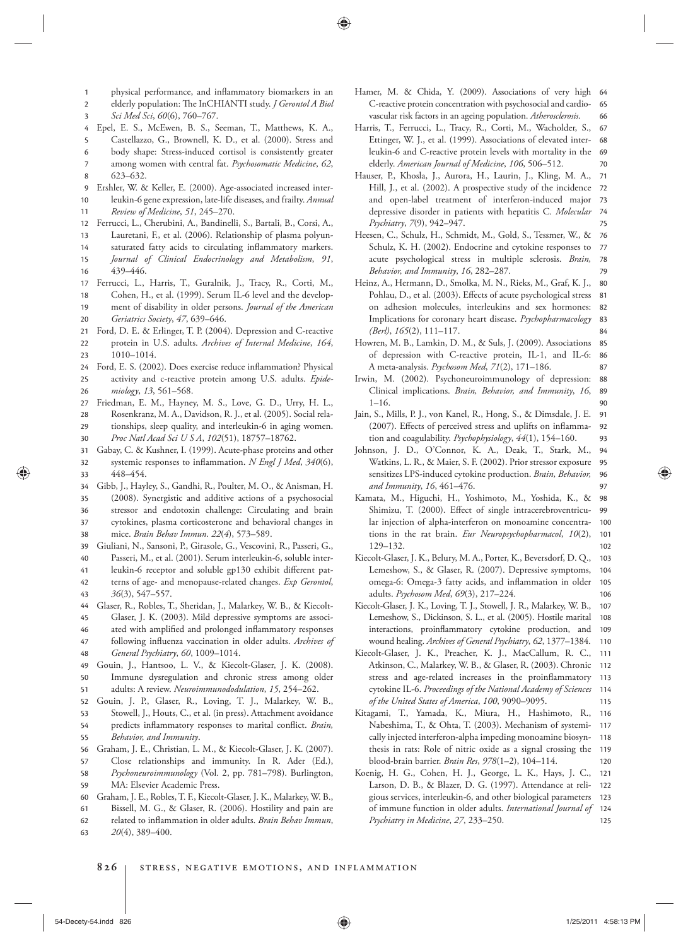- 1 physical performance, and inflammatory biomarkers in an
- 2 elderly population: The InCHIANTI study. *J Gerontol A Biol*
- 3 Sci Med Sci, 60(6), 760-767.
- 4 Epel, E. S., McEwen, B. S., Seeman, T., Matthews, K. A.,
- 6 5 Castellazzo, G., Brownell, K. D., et al. (2000). Stress and body shape: Stress-induced cortisol is consistently greater among women with central fat. Psychosomatic Medicine, 62,
- 8 7 623-632.
- 9 Ershler, W. & Keller, E. (2000). Age-associated increased inter-

11 10 leukin-6 gene expression, late-life diseases, and frailty . *Annual Review of Medicine* , *51* , 245 – 270 .

- 12 Ferrucci, L., Cherubini, A., Bandinelli, S., Bartali, B., Corsi, A.,
- 13 Lauretani, F., et al. (2006). Relationship of plasma polyun-
- 15 14 saturated fatty acids to circulating inflammatory markers. *Journal of Clinical Endocrinology and Metabolism* , *91* ,
- 17 16 439-446.
- Ferrucci, L., Harris, T., Guralnik, J., Tracy, R., Corti, M.,
- 20 19 18 Cohen, H., et al. (1999). Serum IL-6 level and the development of disability in older persons . *Journal of the American Geriatrics Society* , *47* , 639 – 646 .
- 21 Ford, D. E. & Erlinger, T. P. (2004). Depression and C-reactive
- 23 22 protein in U.S. adults. Archives of Internal Medicine, 164,  $1010 - 1014$ .
- 26 25 24 Ford, E. S. (2002). Does exercise reduce inflammation? Physical activity and c-reactive protein among U.S . adults. *Epidemiology* , *13* , 561 – 568 .
- 27 Friedman, E. M., Hayney, M. S., Love, G. D., Urry, H. L.,
- 29 28 Rosenkranz, M. A., Davidson, R. J., et al. (2005). Social relationships, sleep quality, and interleukin-6 in aging women.
- 31 30 Proc Natl Acad Sci U S A, 102(51), 18757-18762.
- 33 32 Gabay, C. & Kushner, I. (1999). Acute-phase proteins and other systemic responses to inflammation. *N Engl J Med*,  $340(6)$ , 448 – 454 .
- 35 34 Gibb, J., Hayley, S., Gandhi, R., Poulter, M. O., & Anisman, H.
- 37 36 (2008). Synergistic and additive actions of a psychosocial stressor and endotoxin challenge: Circulating and brain cytokines, plasma corticosterone and behavioral changes in
- 38 mice. *Brain Behav Immun.* 22(4), 573-589.
- 39 Giuliani, N., Sansoni, P., Girasole, G., Vescovini, R., Passeri, G.,
- 40 Passeri, M., et al. (2001). Serum interleukin-6, soluble inter-
- 42 41 leukin-6 receptor and soluble gp130 exhibit different patterns of age- and menopause-related changes. *Exp Gerontol*,
- 43 36(3), 547-557.
- 44 Glaser, R., Robles, T., Sheridan, J., Malarkey, W. B., & Kiecolt-
- 45 Glaser, J. K. (2003). Mild depressive symptoms are associ-
- 47 46 ated with amplified and prolonged inflammatory responses following influenza vaccination in older adults. *Archives of*
- 48 *General Psychiatry* , *60* , 1009 – 1014 .
- 51 50 49 Gouin, J., Hantsoo, L. V., & Kiecolt-Glaser, J. K. (2008). Immune dysregulation and chronic stress among older adults: A review. *Neuroimmunododulation*, 15, 254-262.
- 52 Gouin, J. P., Glaser, R., Loving, T. J., Malarkey, W. B.,
- 53 Stowell, J., Houts, C., et al. (in press). Attachment avoidance
- 55 54 predicts inflammatory responses to marital conflict. *Brain*, *Behavior, and Immunity* .
- 56 Graham, J. E., Christian, L. M., & Kiecolt-Glaser, J. K. (2007).
- 57 Close relationships and immunity . In R. Ader (Ed.),
- 59 58 Psychoneuroimmunology (Vol. 2, pp. 781-798). Burlington, MA: Elsevier Academic Press.
- 60 Graham, J. E., Robles, T. F., Kiecolt-Glaser, J. K., Malarkey, W. B.,
- 61 Bissell, M. G., & Glaser, R. (2006). Hostility and pain are
- 62 related to inflammation in older adults. *Brain Behav Immun*,
- 63 20(4), 389-400.
- 66 65 64 Hamer, M. & Chida, Y. (2009). Associations of very high C-reactive protein concentration with psychosocial and cardiovascular risk factors in an ageing population . *Atherosclerosis* .
- 70 69 68 67 Harris, T., Ferrucci, L., Tracy, R., Corti, M., Wacholder, S., Ettinger, W. J., et al. (1999). Associations of elevated interleukin-6 and C-reactive protein levels with mortality in the elderly. American Journal of Medicine, 106, 506-512.
- 75 74 73 72 71 Hauser, P., Khosla, J., Aurora, H., Laurin, J., Kling, M. A., Hill, J., et al. (2002). A prospective study of the incidence and open-label treatment of interferon-induced major depressive disorder in patients with hepatitis C. Molecular *Psychiatry*, 7(9), 942-947.
- 79 78 77 76 Heesen, C., Schulz, H., Schmidt, M., Gold, S., Tessmer, W., & Schulz, K. H. (2002). Endocrine and cytokine responses to acute psychological stress in multiple sclerosis . *Brain,*  Behavior, and Immunity, 16, 282-287.
- 84 83 82 81 80 Heinz, A., Hermann, D., Smolka, M. N., Rieks, M., Graf, K. J., Pohlau, D., et al. (2003). Effects of acute psychological stress on adhesion molecules, interleukins and sex hormones: Implications for coronary heart disease . *Psychopharmacology (Berl)*, 165(2), 111-117.
- 87 86 85 Howren, M. B., Lamkin, D. M., & Suls, J. (2009). Associations of depression with C-reactive protein, IL-1, and IL-6: A meta-analysis. Psychosom Med, 71(2), 171-186.
- 90 89 88 Irwin, M. (2002). Psychoneuroimmunology of depression: Clinical implications. *Brain, Behavior, and Immunity*, 16,  $1 - 16.$
- 93 92 91 Jain, S., Mills, P. J., von Kanel, R., Hong, S., & Dimsdale, J. E. (2007). Effects of perceived stress and uplifts on inflammation and coagulability. Psychophysiology, 44(1), 154-160.
- 97 96 95 94 Johnson, J. D., O'Connor, K. A., Deak, T., Stark, M., Watkins, L. R., & Maier, S. F. (2002). Prior stressor exposure sensitizes LPS-induced cytokine production . *Brain, Behavior,*  and Immunity, 16, 461-476.
- 102 101 100 99 98 Kamata, M., Higuchi, H., Yoshimoto, M., Yoshida, K., & Shimizu, T. (2000). Effect of single intracerebroventricular injection of alpha-interferon on monoamine concentrations in the rat brain. *Eur Neuropsychopharmacol*, 10(2), 129 – 132
- 106 105 104 103 Kiecolt-Glaser, J. K., Belury, M. A., Porter, K., Beversdorf, D. Q., Lemeshow, S., & Glaser, R. (2007). Depressive symptoms, omega-6: Omega-3 fatty acids, and inflammation in older adults. *Psychosom Med*, 69(3), 217-224.
- 110 109 108 107 Kiecolt-Glaser, J. K., Loving, T. J., Stowell, J. R., Malarkey, W. B., Lemeshow, S., Dickinson, S. L., et al. (2005). Hostile marital interactions, proinflammatory cytokine production, and wound healing. Archives of General Psychiatry, 62, 1377-1384.
- 115 114 113 112 111 Kiecolt-Glaser, J. K., Preacher, K. J., MacCallum, R. C., Atkinson, C., Malarkey, W. B., & Glaser, R. (2003). Chronic stress and age-related increases in the proinflammatory cytokine IL-6 . *Proceedings of the National Academy of Sciences of the United States of America* , *100* , 9090 – 9095 .
- 120 119 118 117 116 Kitagami, T., Yamada, K., Miura, H., Hashimoto, R., Nabeshima, T., & Ohta, T. (2003). Mechanism of systemically injected interferon-alpha impeding monoamine biosynthesis in rats: Role of nitric oxide as a signal crossing the blood-brain barrier. *Brain Res*, 978(1-2), 104-114.
- 125 124 123 122 121 Koenig, H. G., Cohen, H. J., George, L. K., Hays, J. C., Larson, D. B., & Blazer, D. G. (1997). Attendance at religious services, interleukin-6, and other biological parameters of immune function in older adults . *International Journal of Psychiatry in Medicine* , *27* , 233 – 250 .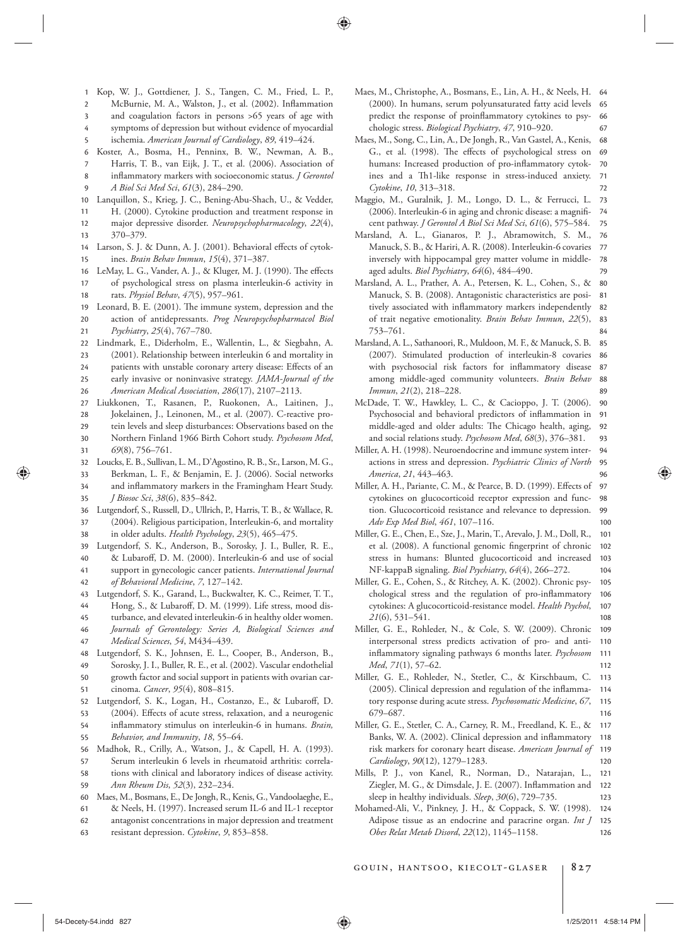- 1 Kop, W. J., Gottdiener, J. S., Tangen, C. M., Fried, L. P.,
- 2 McBurnie, M. A., Walston, J., et al. (2002). Inflammation
- 3 and coagulation factors in persons > 65 years of age with
- 4 symptoms of depression but without evidence of myocardial
- 5 ischemia. American Journal of Cardiology, 89, 419-424.
- 6 Koster, A., Bosma, H., Penninx, B. W., Newman, A. B.,
- 8 7 Harris, T. B., van Eijk, J. T., et al. (2006). Association of inflammatory markers with socioeconomic status. *J Gerontol*
- 9 *A Biol Sci Med Sci* , *61* ( 3 ), 284 – 290 .
- 10 Lanquillon, S., Krieg, J. C., Bening-Abu-Shach, U., & Vedder,
- 12 11 H. (2000). Cytokine production and treatment response in major depressive disorder. *Neuropsychopharmacology*, 22(4),
- 14 13 370 – 379.
- 15 Larson, S. J. & Dunn, A. J. (2001). Behavioral effects of cytokines. *Brain Behav Immun*, 15(4), 371-387.
- 18 17 16 LeMay, L. G., Vander, A. J., & Kluger, M. J. (1990). The effects of psychological stress on plasma interleukin-6 activity in rats. *Physiol Behav*, 47(5), 957-961.
- 20 19 Leonard, B. E. (2001). The immune system, depression and the action of antidepressants . *Prog Neuropsychopharmacol Biol*
- 22 21 *Psychiatry*, 25(4), 767-780. Lindmark, E., Diderholm, E., Wallentin, L., & Siegbahn, A.
- $23$ (2001). Relationship between interleukin 6 and mortality in
- 24
- 25 patients with unstable coronary artery disease: Effects of an early invasive or noninvasive strategy . *JAMA-Journal of the*
- 26 *American Medical Association* , *286* ( 17 ), 2107 – 2113 .
- 27 Liukkonen, T., Rasanen, P., Ruokonen, A., Laitinen, J.,
- 28 Jokelainen, J., Leinonen, M., et al. (2007). C-reactive pro-
- 30 29 tein levels and sleep disturbances: Observations based on the Northern Finland 1966 Birth Cohort study. Psychosom Med,
- 32 31  $69(8)$ , 756-761. Loucks, E. B., Sullivan, L. M., D'Agostino, R. B., Sr., Larson, M. G.,
- 34 33 Berkman, L. F., & Benjamin, E. J. (2006). Social networks and inflammatory markers in the Framingham Heart Study.
- 35 *J Biosoc Sci*, 38(6), 835-842.
- 38 37 36 Lutgendorf, S., Russell, D., Ullrich, P., Harris, T. B., & Wallace, R. (2004). Religious participation, Interleukin-6, and mortality in older adults. *Health Psychology*, 23(5), 465-475.
- 39 Lutgendorf, S. K., Anderson, B., Sorosky, J. I., Buller, R. E.,
- 40 & Lubaroff, D. M. (2000). Interleukin-6 and use of social
- 42 41 support in gynecologic cancer patients . *International Journal of Behavioral Medicine* , *7* , 127 – 142 .
- 
- 44 43 Lutgendorf, S. K., Garand, L., Buckwalter, K. C., Reimer, T. T.,
- Hong, S., & Lubaroff, D. M. (1999). Life stress, mood dis-
- 46 45 turbance, and elevated interleukin-6 in healthy older women .
- 47 *Journals of Gerontology: Series A, Biological Sciences and Medical Sciences* , *54* , M434 – 439 .
- 48 Lutgendorf, S. K., Johnsen, E. L., Cooper, B., Anderson, B.,
- 49 Sorosky, J. I., Buller, R. E., et al. (2002). Vascular endothelial
- 51 50 growth factor and social support in patients with ovarian carcinoma. *Cancer*, 95(4), 808-815.
- 52 Lutgendorf, S. K., Logan, H., Costanzo, E., & Lubaroff, D.
- 53 (2004). Effects of acute stress, relaxation, and a neurogenic
- 55 54 inflammatory stimulus on interleukin-6 in humans. *Brain*, Behavior, and Immunity, 18, 55-64.
- 56 Madhok, R., Crilly, A., Watson, J., & Capell, H. A. (1993).
- 58 57 Serum interleukin 6 levels in rheumatoid arthritis: correlations with clinical and laboratory indices of disease activity.
- 59 *Ann Rheum Dis* , *52* ( 3 ), 232 – 234 .
- 60 Maes, M., Bosmans, E., De Jongh, R., Kenis, G., Vandoolaeghe, E.,
- 61 & Neels, H. (1997). Increased serum IL-6 and IL-1 receptor
- 62 antagonist concentrations in major depression and treatment
- 63 resistant depression. *Cytokine*, 9, 853-858.
- 67 66 65 Maes, M., Christophe, A., Bosmans, E., Lin, A. H., & Neels, H. 64 (2000). In humans, serum polyunsaturated fatty acid levels predict the response of proinflammatory cytokines to psychologic stress. *Biological Psychiatry*, 47, 910-920.
- 72 71 70 69 68 Maes, M., Song, C., Lin, A., De Jongh, R., Van Gastel, A., Kenis, G., et al. (1998). The effects of psychological stress on humans: Increased production of pro-inflammatory cytokines and a Th1-like response in stress-induced anxiety. Cytokine, 10, 313-318.
- 75 74 73 Maggio, M., Guralnik, J. M., Longo, D. L., & Ferrucci, L. (2006). Interleukin-6 in aging and chronic disease: a magnificent pathway. *J Gerontol A Biol Sci Med Sci*, 61(6), 575-584.
- 79 78 77 76 Marsland, A. L., Gianaros, P. J., Abramowitch, S. M., Manuck, S. B., & Hariri, A. R. (2008). Interleukin-6 covaries inversely with hippocampal grey matter volume in middleaged adults. *Biol Psychiatry*, 64(6), 484-490.
- 84 83 82 81 80 Marsland, A. L., Prather, A. A., Petersen, K. L., Cohen, S., & Manuck, S. B. (2008). Antagonistic characteristics are positively associated with inflammatory markers independently of trait negative emotionality. *Brain Behav Immun*, 22(5), 753-761.
- 89 88 87 86 85 Marsland, A. L., Sathanoori, R., Muldoon, M. F., & Manuck, S. B. (2007). Stimulated production of interleukin-8 covaries with psychosocial risk factors for inflammatory disease among middle-aged community volunteers. **Brain Behav** Immun, 21(2), 218-228.
- 93 92 91 90 McDade, T. W., Hawkley, L. C., & Cacioppo, J. T. (2006). Psychosocial and behavioral predictors of inflammation in middle-aged and older adults: The Chicago health, aging, and social relations study. *Psychosom Med*, 68(3), 376-381.
- 96 95 94 Miller, A. H. (1998). Neuroendocrine and immune system interactions in stress and depression . *Psychiatric Clinics of North America* , *21* , 443 – 463 .
- 100 99 98 97 Miller, A. H., Pariante, C. M., & Pearce, B. D. (1999). Effects of cytokines on glucocorticoid receptor expression and function. Glucocorticoid resistance and relevance to depression. *Adv Exp Med Biol* , *461* , 107 – 116 .
- 104 103 102 101 Miller, G. E., Chen, E., Sze, J., Marin, T., Arevalo, J. M., Doll, R., et al. (2008). A functional genomic fingerprint of chronic stress in humans: Blunted glucocorticoid and increased NF-kappaB signaling. *Biol Psychiatry*, 64(4), 266-272.
- 108 107 106 105 Miller, G. E., Cohen, S., & Ritchey, A. K. (2002). Chronic psychological stress and the regulation of pro-inflammatory cytokines: A glucocorticoid-resistance model. *Health Psychol*, *21*(6), 531–541.
- 112 111 110 109 Miller, G. E., Rohleder, N., & Cole, S. W. (2009). Chronic interpersonal stress predicts activation of pro- and antiinflammatory signaling pathways 6 months later. *Psychosom Med*, 71(1), 57-62.
- 116 115 114 113 Miller, G. E., Rohleder, N., Stetler, C., & Kirschbaum, C. (2005). Clinical depression and regulation of the inflammatory response during acute stress. Psychosomatic Medicine, 67, 679-687.
- 120 119 118 117 Miller, G. E., Stetler, C. A., Carney, R. M., Freedland, K. E., & Banks, W. A. (2002). Clinical depression and inflammatory risk markers for coronary heart disease . *American Journal of*  Cardiology, 90(12), 1279-1283.
- 123 122 121 Mills, P. J., von Kanel, R., Norman, D., Natarajan, L., Ziegler, M. G., & Dimsdale, J. E. (2007). Inflammation and sleep in healthy individuals. Sleep, 30(6), 729-735.
- 126 125 124 Mohamed-Ali, V., Pinkney, J. H., & Coppack, S. W. (1998). Adipose tissue as an endocrine and paracrine organ. *Int J Obes Relat Metab Disord, 22*(12), 1145-1158.

gouin, hantsoo, kiecolt-glaser **827**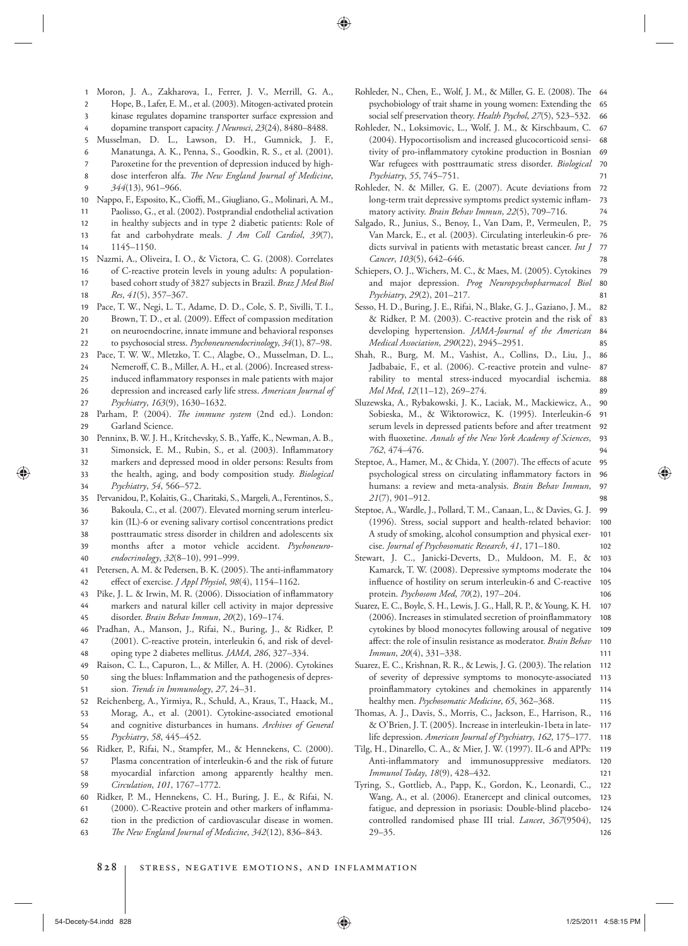- 1 Moron, J. A., Zakharova, I., Ferrer, J. V., Merrill, G. A.,
- 3 2 Hope, B., Lafer, E. M., et al. (2003). Mitogen-activated protein kinase regulates dopamine transporter surface expression and
- 4
- dopamine transport capacity. *J Neurosci*, 23(24), 8480-8488.
- 6 5 Musselman, D. L., Lawson, D. H., Gumnick, J. F., Manatunga, A. K., Penna, S., Goodkin, R. S., et al. (2001).
- Paroxetine for the prevention of depression induced by high-
- 8 7 dose interferon alfa. *The New England Journal of Medicine*,
- 9 344(13), 961-966.
- 10 Nappo, F., Esposito, K., Cioffi, M., Giugliano, G., Molinari, A. M.,
- 12 11 Paolisso, G., et al. (2002). Postprandial endothelial activation
- 13 in healthy subjects and in type 2 diabetic patients: Role of fat and carbohydrate meals. *J Am Coll Cardiol*, 39(7),
- 14 1145 – 1150.
- 15 Nazmi, A., Oliveira, I. O., & Victora, C. G. (2008). Correlates
- 18 17 16 of C-reactive protein levels in young adults: A populationbased cohort study of 3827 subjects in Brazil . *Braz J Med Biol Res*,  $41(5)$ , 357-367.
- 19 Pace, T. W., Negi, L. T., Adame, D. D., Cole, S. P., Sivilli, T. I.,
- 20 Brown, T. D., et al. (2009). Effect of compassion meditation
- 21 on neuroendocrine, innate immune and behavioral responses
- 22 to psychosocial stress. *Psychoneuroendocrinology*, 34(1), 87-98.
- $23$ Pace, T. W. W., Mletzko, T. C., Alagbe, O., Musselman, D. L.,
- 26 25 24 Nemeroff, C. B., Miller, A. H., et al. (2006). Increased stressinduced inflammatory responses in male patients with major depression and increased early life stress . *American Journal of*
- 27 *Psychiatry* , *163* ( 9 ), 1630 – 1632 .
- 29 28 Parham, P. (2004). *The immune system* (2nd ed.). London: Garland Science.
- 30 Penninx, B. W. J. H., Kritchevsky, S. B., Yaffe, K., Newman, A. B.,
- 31 Simonsick, E. M., Rubin, S., et al. (2003). Inflammatory
- 33 32 markers and depressed mood in older persons: Results from the health, aging, and body composition study. *Biological*
- 34 *Psychiatry* , *54* , 566 – 572 .
- 36 35 Pervanidou, P., Kolaitis, G., Charitaki, S., Margeli, A., Ferentinos, S., Bakoula, C., et al. (2007). Elevated morning serum interleu-
- 37 kin (IL)-6 or evening salivary cortisol concentrations predict
- 39 38 posttraumatic stress disorder in children and adolescents six months after a motor vehicle accident . *Psychoneuro-*
- 40 endocrinology, 32(8-10), 991-999.
- 42 41 Petersen, A. M. & Pedersen, B. K. (2005). The anti-inflammatory effect of exercise. *J Appl Physiol*, 98(4), 1154-1162.
- 43 Pike, J. L. & Irwin, M. R. (2006). Dissociation of inflammatory
- 45 44 markers and natural killer cell activity in major depressive disorder. *Brain Behav Immun*, 20(2), 169-174.
- 47 46 Pradhan, A., Manson, J., Rifai, N., Buring, J., & Ridker, P. (2001). C-reactive protein, interleukin 6, and risk of devel-
- 48 oping type 2 diabetes mellitus. *JAMA*, 286, 327-334.
- 51 50 49 Raison, C. L., Capuron, L., & Miller, A. H. (2006). Cytokines sing the blues: Inflammation and the pathogenesis of depression. *Trends in Immunology*, 27, 24-31.
- 52 Reichenberg, A., Yirmiya, R., Schuld, A., Kraus, T., Haack, M.,
- 53 Morag, A., et al. (2001). Cytokine-associated emotional
- 55 54 and cognitive disturbances in humans . *Archives of General Psychiatry* , *58* , 445 – 452 .
- 56 Ridker, P., Rifai, N., Stampfer, M., & Hennekens, C. (2000).
- 58 57 Plasma concentration of interleukin-6 and the risk of future myocardial infarction among apparently healthy men.
- 59 *Circulation* , *101* , 1767 – 1772 .
- 60 Ridker, P. M., Hennekens, C. H., Buring, J. E., & Rifai, N.
- 61 (2000). C-Reactive protein and other markers of inflamma-
- 62 tion in the prediction of cardiovascular disease in women .
- 63 The New England Journal of Medicine, 342(12), 836-843.
- 66 65 Rohleder, N., Chen, E., Wolf, J. M., & Miller, G. E. (2008). The 64 psychobiology of trait shame in young women: Extending the social self preservation theory. *Health Psychol*, 27(5), 523-532.
- 71 70 69 68 67 Rohleder, N., Loksimovic, L., Wolf, J. M., & Kirschbaum, C. (2004). Hypocortisolism and increased glucocorticoid sensitivity of pro-inflammatory cytokine production in Bosnian War refugees with posttraumatic stress disorder. *Biological Psychiatry* , *55* , 745 – 751 .
- 74 73 72 Rohleder, N. & Miller, G. E. (2007). Acute deviations from long-term trait depressive symptoms predict systemic inflammatory activity. *Brain Behav Immun*, 22(5), 709-716.
- 78 77 76 75 Salgado, R., Junius, S., Benoy, I., Van Dam, P., Vermeulen, P., Van Marck, E., et al. (2003). Circulating interleukin-6 predicts survival in patients with metastatic breast cancer . *Int J Cancer*, 103(5), 642–646.

81 80 79 Schiepers, O. J., Wichers, M. C., & Maes, M. (2005). Cytokines and major depression . *Prog Neuropsychopharmacol Biol Psychiatry*, 29(2), 201-217.

- 85 84 83 82 Sesso, H. D., Buring, J. E., Rifai, N., Blake, G. J., Gaziano, J. M., & Ridker, P. M. (2003). C-reactive protein and the risk of developing hypertension . *JAMA-Journal of the American Medical Association* , *290* ( 22 ), 2945 – 2951 .
- 89 88 87 86 Shah, R., Burg, M. M., Vashist, A., Collins, D., Liu, J., Jadbabaie, F., et al. (2006). C-reactive protein and vulnerability to mental stress-induced myocardial ischemia. *Mol Med, 12*(11-12), 269-274.
- 94 93 92 91 90 Sluzewska, A., Rybakowski, J. K., Laciak, M., Mackiewicz, A., Sobieska, M., & Wiktorowicz, K. (1995). Interleukin-6 serum levels in depressed patients before and after treatment with fluoxetine. *Annals of the New York Academy of Sciences*, *762* , 474 – 476 .
- 98 97 96 95 Steptoe, A., Hamer, M., & Chida, Y. (2007). The effects of acute psychological stress on circulating inflammatory factors in humans: a review and meta-analysis. *Brain Behav Immun*, *21*(7), 901-912
- 102 101 100 99 Steptoe, A., Wardle, J., Pollard, T. M., Canaan, L., & Davies, G. J. (1996). Stress, social support and health-related behavior: A study of smoking, alcohol consumption and physical exercise . *Journal of Psychosomatic Research* , *41* , 171 – 180 .
- 106 105 104 103 Stewart, J. C., Janicki-Deverts, D., Muldoon, M. F., & Kamarck, T. W. (2008). Depressive symptoms moderate the influence of hostility on serum interleukin-6 and C-reactive protein. *Psychosom Med*, 70(2), 197-204.
- 111 110 109 108 107 Suarez, E. C., Boyle, S. H., Lewis, J. G., Hall, R. P., & Young, K. H. (2006). Increases in stimulated secretion of proinflammatory cytokines by blood monocytes following arousal of negative affect: the role of insulin resistance as moderator. *Brain Behav* Immun, 20(4), 331-338.
- 115 114 113 112 Suarez, E. C., Krishnan, R. R., & Lewis, J. G. (2003). The relation of severity of depressive symptoms to monocyte-associated proinflammatory cytokines and chemokines in apparently healthy men. Psychosomatic Medicine, 65, 362-368.
- 118 117 116 Thomas, A. J., Davis, S., Morris, C., Jackson, E., Harrison, R., & O'Brien, J. T. (2005). Increase in interleukin-1beta in latelife depression. *American Journal of Psychiatry*, 162, 175-177.
- 121 120 119 Tilg, H., Dinarello, C. A., & Mier, J. W. (1997). IL-6 and APPs: Anti-inflammatory and immunosuppressive mediators. *Immunol Today*, 18(9), 428-432.
- 126 125 124 123 122 Tyring, S., Gottlieb, A., Papp, K., Gordon, K., Leonardi, C., Wang, A., et al. (2006). Etanercept and clinical outcomes, fatigue, and depression in psoriasis: Double-blind placebocontrolled randomised phase III trial. *Lancet*, 367(9504),  $29 - 35.$